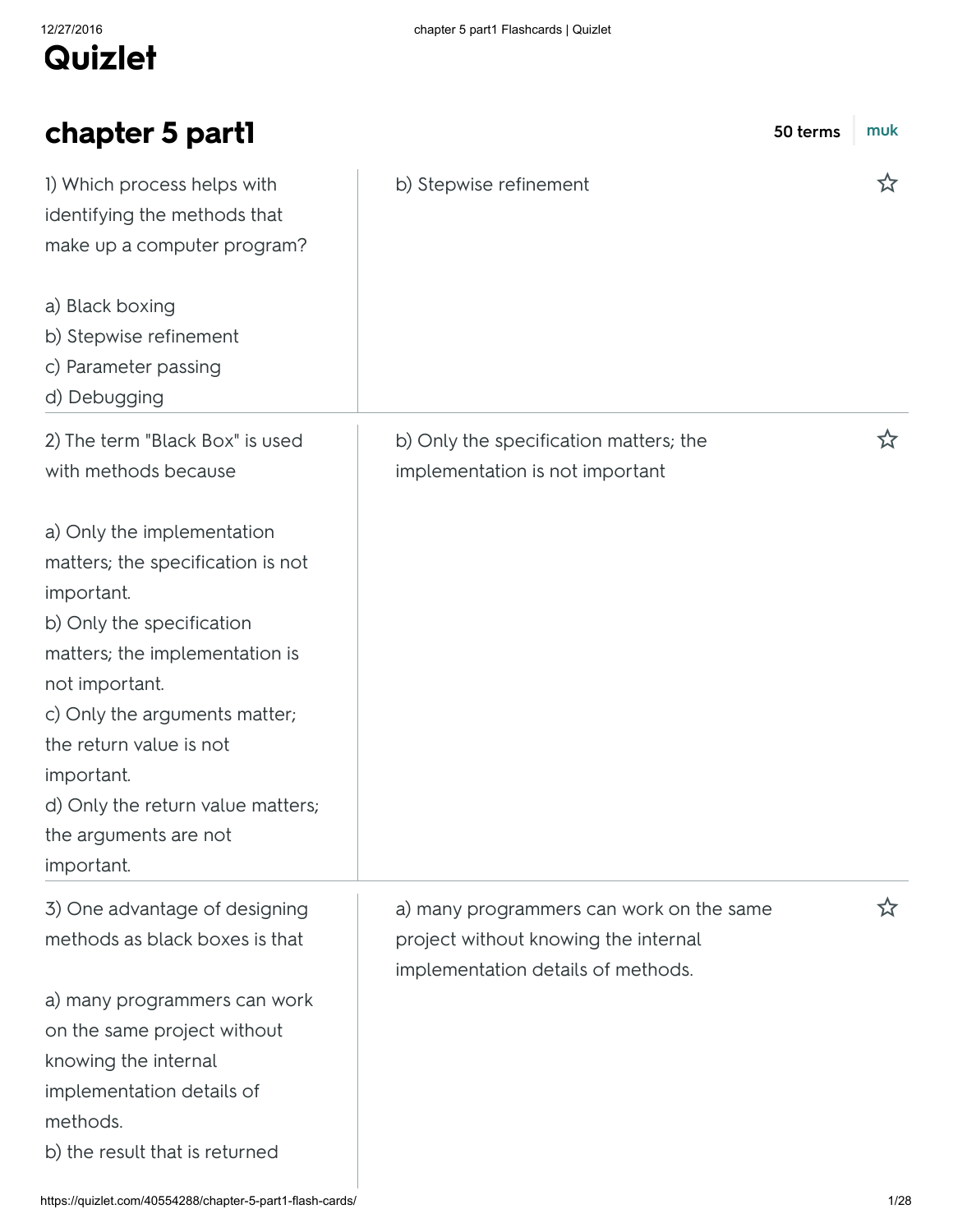| chapter 5 part1                                                                                                                                                                                                                                                                                                      | 50 terms                                                                                                               | muk |
|----------------------------------------------------------------------------------------------------------------------------------------------------------------------------------------------------------------------------------------------------------------------------------------------------------------------|------------------------------------------------------------------------------------------------------------------------|-----|
| I) Which process helps with<br>identifying the methods that<br>make up a computer program?                                                                                                                                                                                                                           | b) Stepwise refinement                                                                                                 | ざ   |
| a) Black boxing<br>b) Stepwise refinement<br>c) Parameter passing<br>d) Debugging                                                                                                                                                                                                                                    |                                                                                                                        |     |
| 2) The term "Black Box" is used<br>with methods because                                                                                                                                                                                                                                                              | b) Only the specification matters; the<br>implementation is not important                                              | ☆   |
| a) Only the implementation<br>matters; the specification is not<br>important.<br>b) Only the specification<br>matters; the implementation is<br>not important.<br>c) Only the arguments matter;<br>the return value is not<br>important.<br>d) Only the return value matters;<br>the arguments are not<br>important. |                                                                                                                        |     |
| 3) One advantage of designing<br>methods as black boxes is that                                                                                                                                                                                                                                                      | a) many programmers can work on the same<br>project without knowing the internal<br>implementation details of methods. | ☆   |
| a) many programmers can work<br>on the same project without<br>knowing the internal<br>implementation details of<br>methods.<br>b) the result that is returned                                                                                                                                                       |                                                                                                                        |     |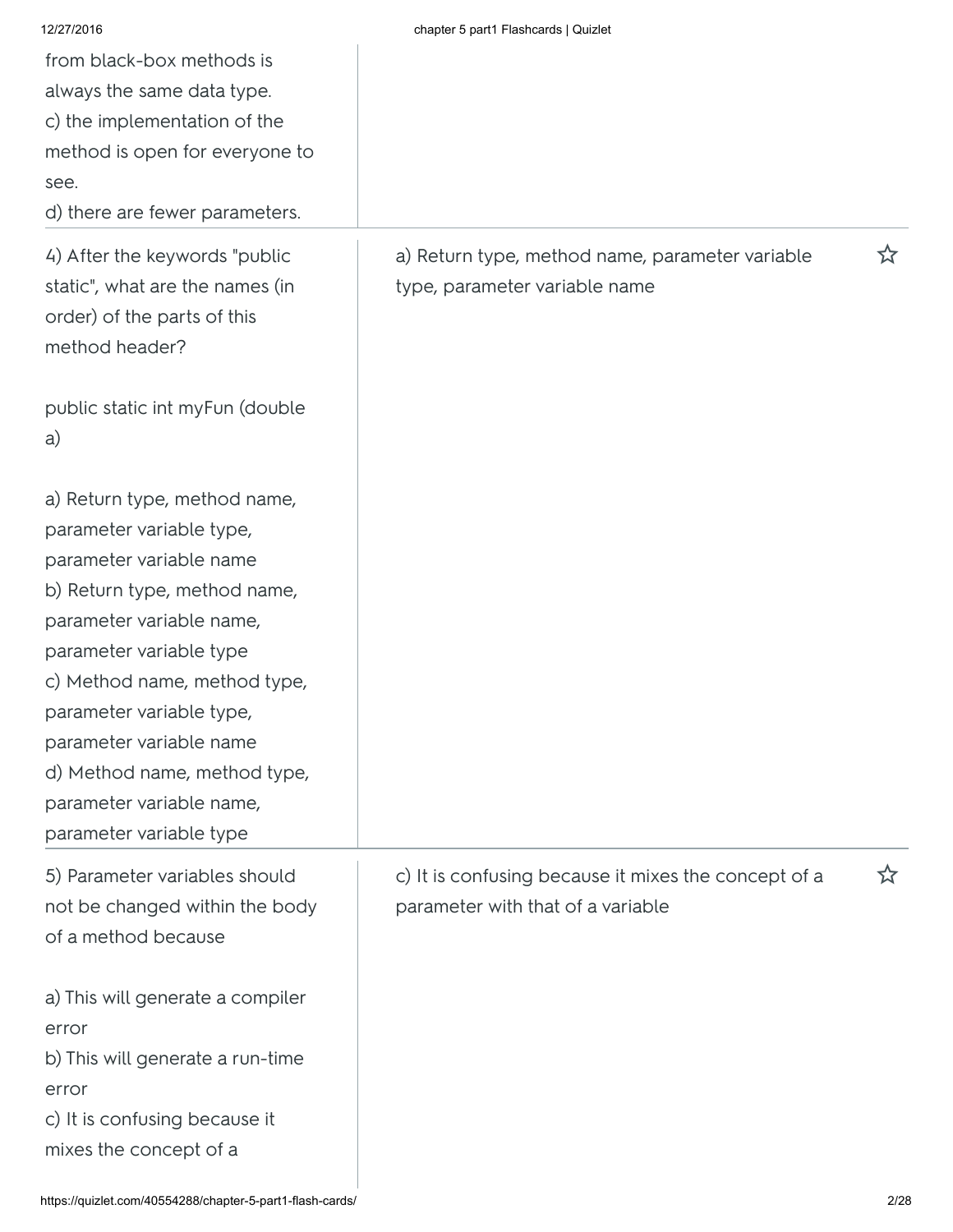| 12/27/2016                       | chapter 5 part1 Flashcards   Quizlet                 |   |
|----------------------------------|------------------------------------------------------|---|
| from black-box methods is        |                                                      |   |
| always the same data type.       |                                                      |   |
| c) the implementation of the     |                                                      |   |
| method is open for everyone to   |                                                      |   |
| see.                             |                                                      |   |
| d) there are fewer parameters.   |                                                      |   |
|                                  |                                                      |   |
| 4) After the keywords "public    | a) Return type, method name, parameter variable      | ☆ |
| static", what are the names (in  | type, parameter variable name                        |   |
| order) of the parts of this      |                                                      |   |
| method header?                   |                                                      |   |
|                                  |                                                      |   |
| public static int myFun (double  |                                                      |   |
| a)                               |                                                      |   |
|                                  |                                                      |   |
| a) Return type, method name,     |                                                      |   |
| parameter variable type,         |                                                      |   |
| parameter variable name          |                                                      |   |
| b) Return type, method name,     |                                                      |   |
| parameter variable name,         |                                                      |   |
| parameter variable type          |                                                      |   |
| c) Method name, method type,     |                                                      |   |
| parameter variable type,         |                                                      |   |
| parameter variable name          |                                                      |   |
| d) Method name, method type,     |                                                      |   |
| parameter variable name,         |                                                      |   |
| parameter variable type          |                                                      |   |
| 5) Parameter variables should    | c) It is confusing because it mixes the concept of a | ☆ |
| not be changed within the body   | parameter with that of a variable                    |   |
| of a method because              |                                                      |   |
|                                  |                                                      |   |
| a) This will generate a compiler |                                                      |   |
| error                            |                                                      |   |
| b) This will generate a run-time |                                                      |   |
| error                            |                                                      |   |
| c) It is confusing because it    |                                                      |   |
| mixes the concept of a           |                                                      |   |
|                                  |                                                      |   |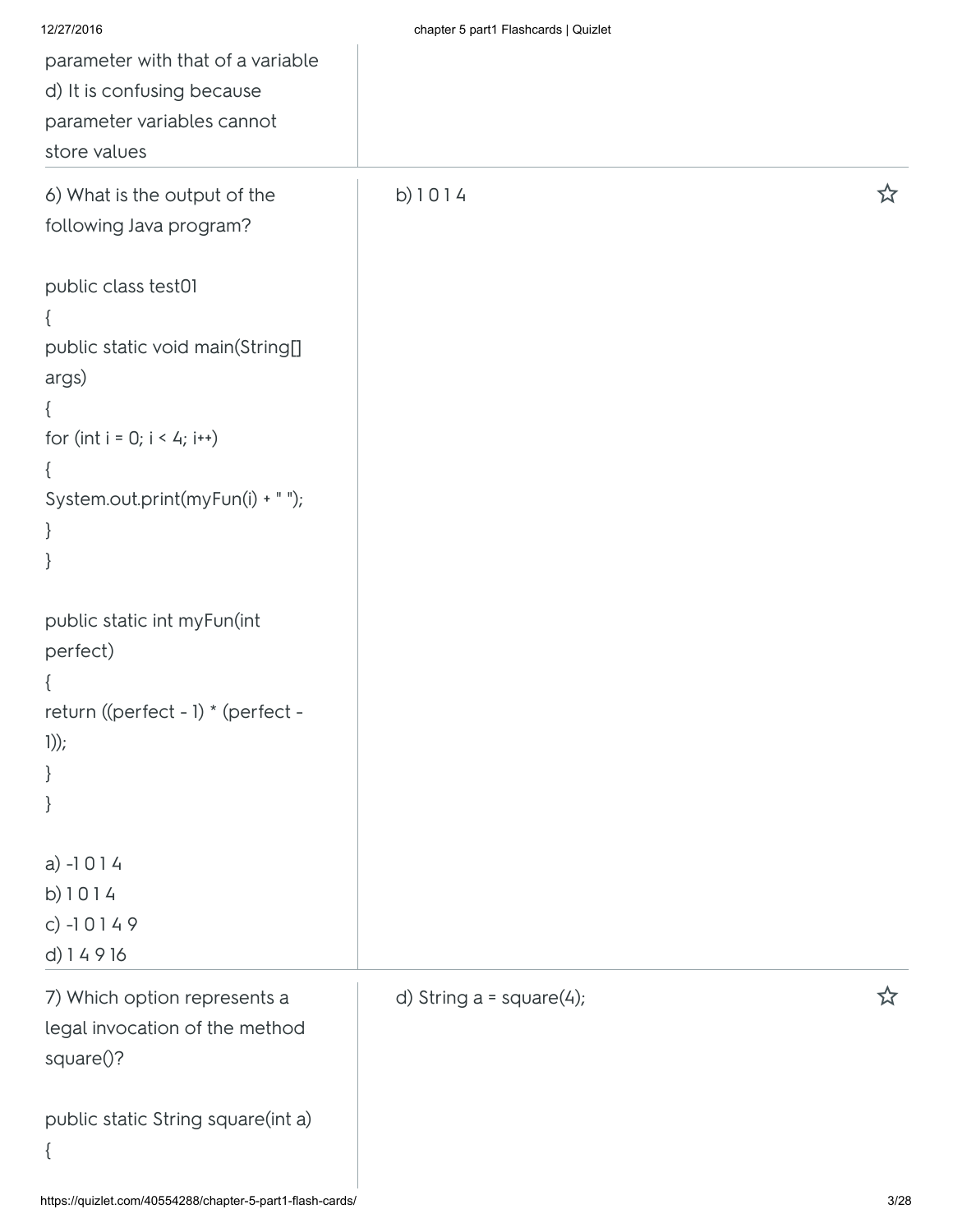| 12/27/2016                         | chapter 5 part1 Flashcards   Quizlet |   |
|------------------------------------|--------------------------------------|---|
| parameter with that of a variable  |                                      |   |
| d) It is confusing because         |                                      |   |
| parameter variables cannot         |                                      |   |
| store values                       |                                      |   |
| 6) What is the output of the       | b) 1014                              | ☆ |
| following Java program?            |                                      |   |
| public class test01                |                                      |   |
| ₹                                  |                                      |   |
| public static void main(String[]   |                                      |   |
| args)                              |                                      |   |
| ₹                                  |                                      |   |
| for (int $i = 0; i < 4; i++)$      |                                      |   |
| $\{$                               |                                      |   |
| System.out.print(myFun(i) + " ");  |                                      |   |
| $\}$<br>}                          |                                      |   |
|                                    |                                      |   |
| public static int myFun(int        |                                      |   |
| perfect)                           |                                      |   |
|                                    |                                      |   |
| return ((perfect - 1) * (perfect - |                                      |   |
| $1))$ ;                            |                                      |   |
| }                                  |                                      |   |
| $\}$                               |                                      |   |
| $a) -1014$                         |                                      |   |
| b) 1014                            |                                      |   |
| c) $-10149$                        |                                      |   |
| d) 14916                           |                                      |   |
| 7) Which option represents a       | d) String $a = square(4);$           | 饮 |
| legal invocation of the method     |                                      |   |
| square()?                          |                                      |   |
|                                    |                                      |   |
| public static String square(int a) |                                      |   |
| $\{$                               |                                      |   |
|                                    |                                      |   |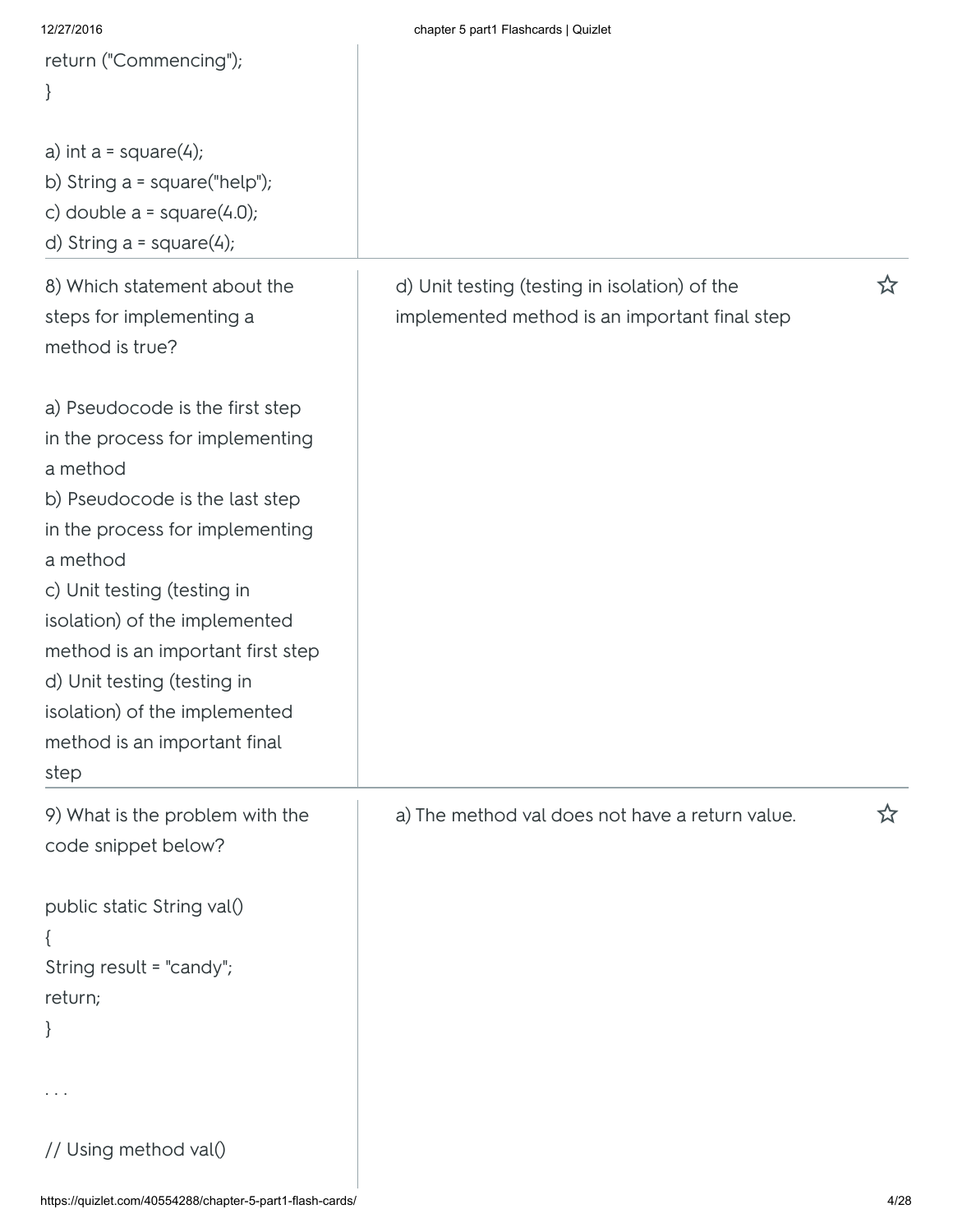| 12/27/2016                        | chapter 5 part1 Flashcards   Quizlet            |   |
|-----------------------------------|-------------------------------------------------|---|
| return ("Commencing");            |                                                 |   |
| $\}$                              |                                                 |   |
|                                   |                                                 |   |
| a) int $a = square(4);$           |                                                 |   |
| b) String $a = square("help");$   |                                                 |   |
| c) double $a = square(4.0);$      |                                                 |   |
| d) String $a = square(4);$        |                                                 |   |
|                                   |                                                 |   |
| 8) Which statement about the      | d) Unit testing (testing in isolation) of the   | ☆ |
| steps for implementing a          | implemented method is an important final step   |   |
| method is true?                   |                                                 |   |
|                                   |                                                 |   |
| a) Pseudocode is the first step   |                                                 |   |
| in the process for implementing   |                                                 |   |
| a method                          |                                                 |   |
| b) Pseudocode is the last step    |                                                 |   |
| in the process for implementing   |                                                 |   |
| a method                          |                                                 |   |
| c) Unit testing (testing in       |                                                 |   |
| isolation) of the implemented     |                                                 |   |
| method is an important first step |                                                 |   |
| d) Unit testing (testing in       |                                                 |   |
| isolation) of the implemented     |                                                 |   |
| method is an important final      |                                                 |   |
| step                              |                                                 |   |
| 9) What is the problem with the   | a) The method val does not have a return value. |   |
| code snippet below?               |                                                 |   |
|                                   |                                                 |   |
| public static String val()        |                                                 |   |
|                                   |                                                 |   |
| String result = "candy";          |                                                 |   |
| return;                           |                                                 |   |
| $\}$                              |                                                 |   |
|                                   |                                                 |   |
|                                   |                                                 |   |
|                                   |                                                 |   |
| // Using method val()             |                                                 |   |
|                                   |                                                 |   |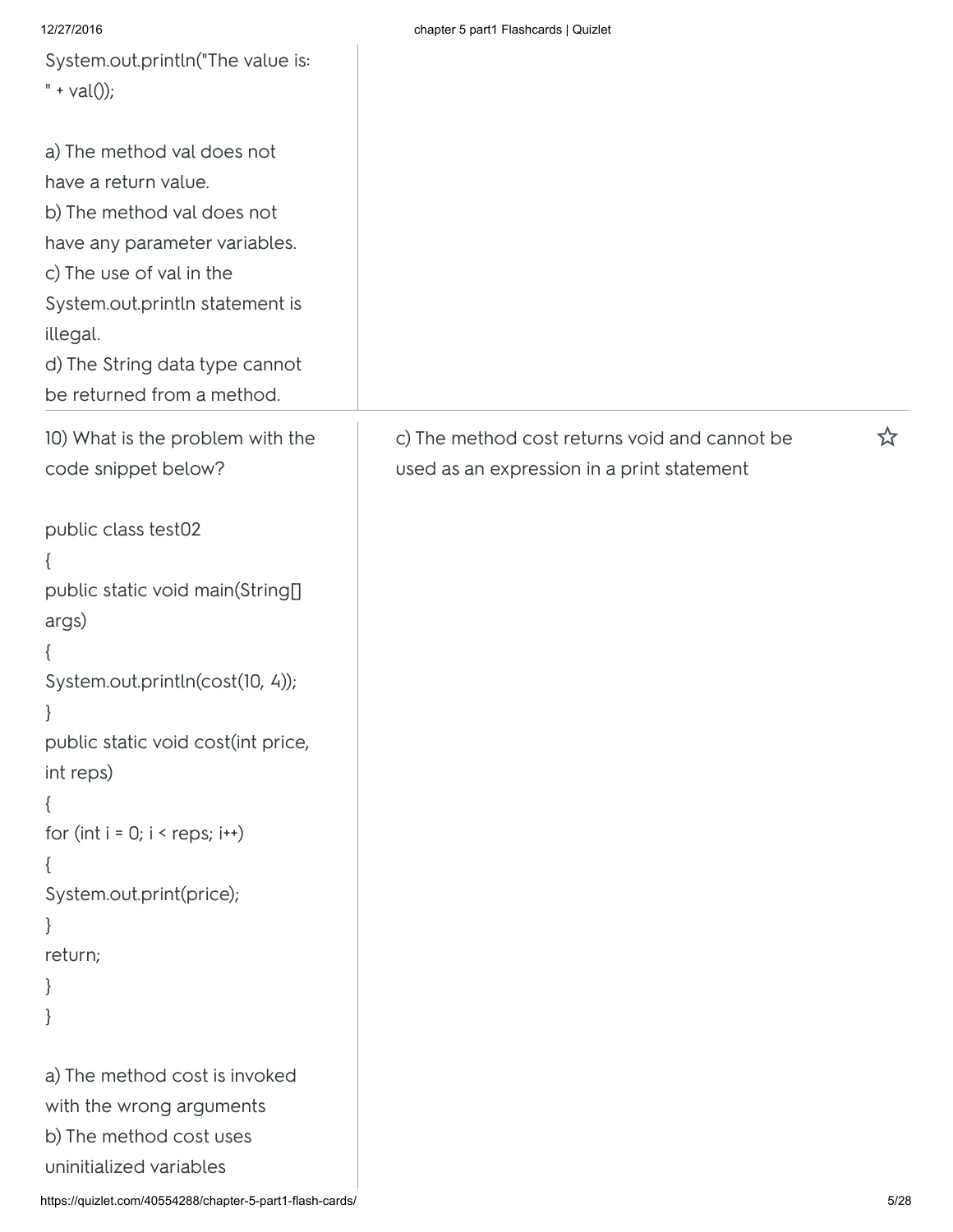| 12/27/2016                         | chapter 5 part1 Flashcards   Quizlet          |   |
|------------------------------------|-----------------------------------------------|---|
| System.out.println("The value is:  |                                               |   |
| $" + val()$ ;                      |                                               |   |
|                                    |                                               |   |
| a) The method val does not         |                                               |   |
|                                    |                                               |   |
| have a return value.               |                                               |   |
| b) The method val does not         |                                               |   |
| have any parameter variables.      |                                               |   |
| c) The use of val in the           |                                               |   |
| System.out.println statement is    |                                               |   |
| illegal.                           |                                               |   |
| d) The String data type cannot     |                                               |   |
| be returned from a method.         |                                               |   |
|                                    |                                               |   |
| 10) What is the problem with the   | c) The method cost returns void and cannot be | ☆ |
| code snippet below?                | used as an expression in a print statement    |   |
|                                    |                                               |   |
| public class test02                |                                               |   |
| ₹                                  |                                               |   |
| public static void main(String[]   |                                               |   |
| args)                              |                                               |   |
| ₹                                  |                                               |   |
| System.out.println(cost(10, 4));   |                                               |   |
| $\}$                               |                                               |   |
| public static void cost(int price, |                                               |   |
|                                    |                                               |   |
| int reps)                          |                                               |   |
| ₹                                  |                                               |   |
| for $(int i = 0; i < resps; i++)$  |                                               |   |
| ₹                                  |                                               |   |
| System.out.print(price);           |                                               |   |
| $\}$                               |                                               |   |
| return;                            |                                               |   |
| }                                  |                                               |   |
| }                                  |                                               |   |
|                                    |                                               |   |
| a) The method cost is invoked      |                                               |   |
| with the wrong arguments           |                                               |   |
| b) The method cost uses            |                                               |   |
| uninitialized variables            |                                               |   |
|                                    |                                               |   |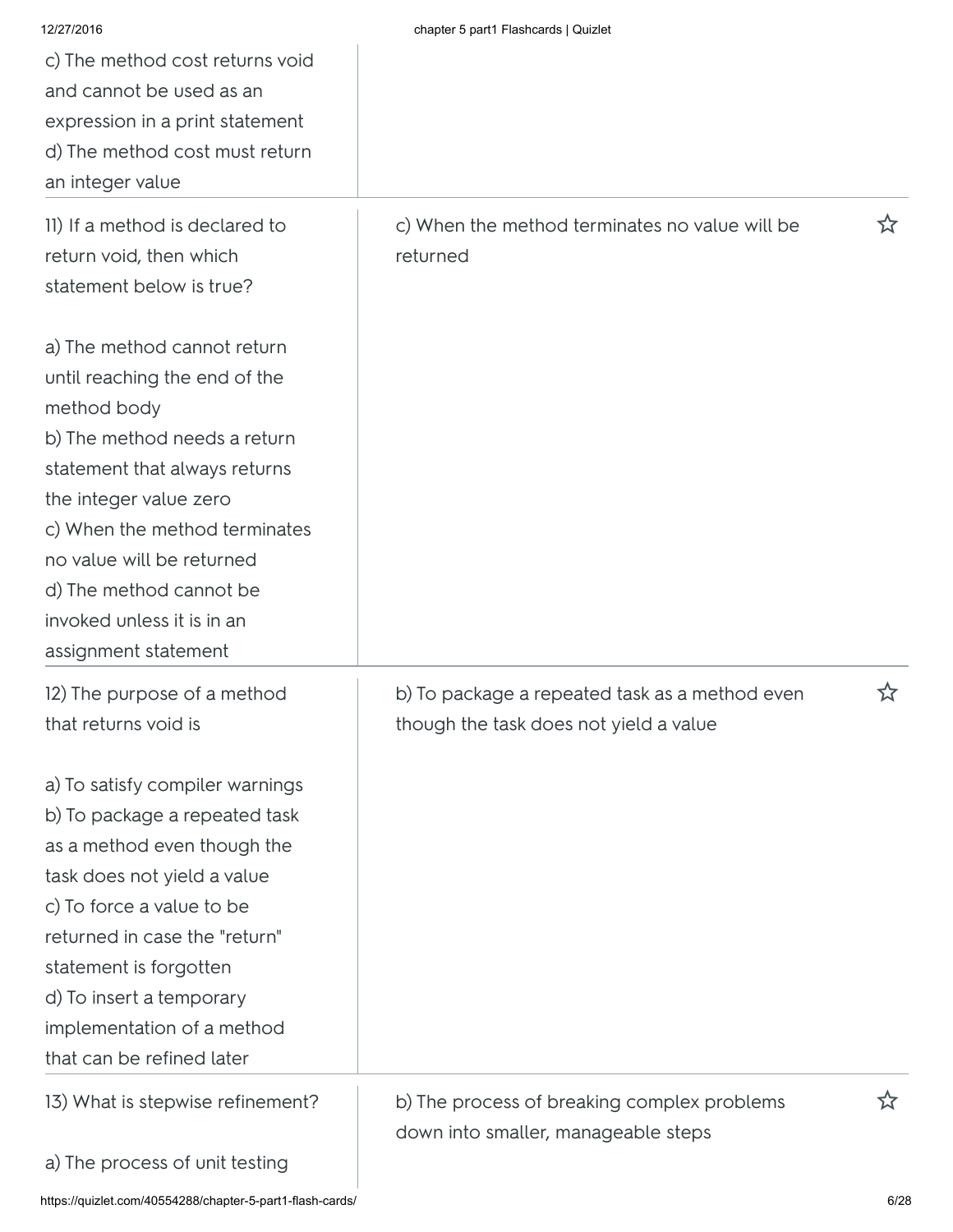| 12/27/2016<br>c) The method cost returns void<br>and cannot be used as an<br>expression in a print statement<br>d) The method cost must return<br>an integer value                                                                                                                                                    | chapter 5 part1 Flashcards   Quizlet                                                     |      |
|-----------------------------------------------------------------------------------------------------------------------------------------------------------------------------------------------------------------------------------------------------------------------------------------------------------------------|------------------------------------------------------------------------------------------|------|
| II) If a method is declared to<br>return void, then which<br>statement below is true?                                                                                                                                                                                                                                 | c) When the method terminates no value will be<br>returned                               | ☆    |
| a) The method cannot return<br>until reaching the end of the<br>method body<br>b) The method needs a return<br>statement that always returns<br>the integer value zero<br>c) When the method terminates<br>no value will be returned<br>d) The method cannot be<br>invoked unless it is in an<br>assignment statement |                                                                                          |      |
| 12) The purpose of a method<br>that returns void is                                                                                                                                                                                                                                                                   | b) To package a repeated task as a method even<br>though the task does not yield a value | ☆    |
| a) To satisfy compiler warnings<br>b) To package a repeated task<br>as a method even though the<br>task does not yield a value<br>c) To force a value to be<br>returned in case the "return"<br>statement is forgotten<br>d) To insert a temporary<br>implementation of a method<br>that can be refined later         |                                                                                          |      |
| 13) What is stepwise refinement?                                                                                                                                                                                                                                                                                      | b) The process of breaking complex problems<br>down into smaller, manageable steps       | ☆    |
| a) The process of unit testing                                                                                                                                                                                                                                                                                        |                                                                                          |      |
| https://quizlet.com/40554288/chapter-5-part1-flash-cards/                                                                                                                                                                                                                                                             |                                                                                          | 6/28 |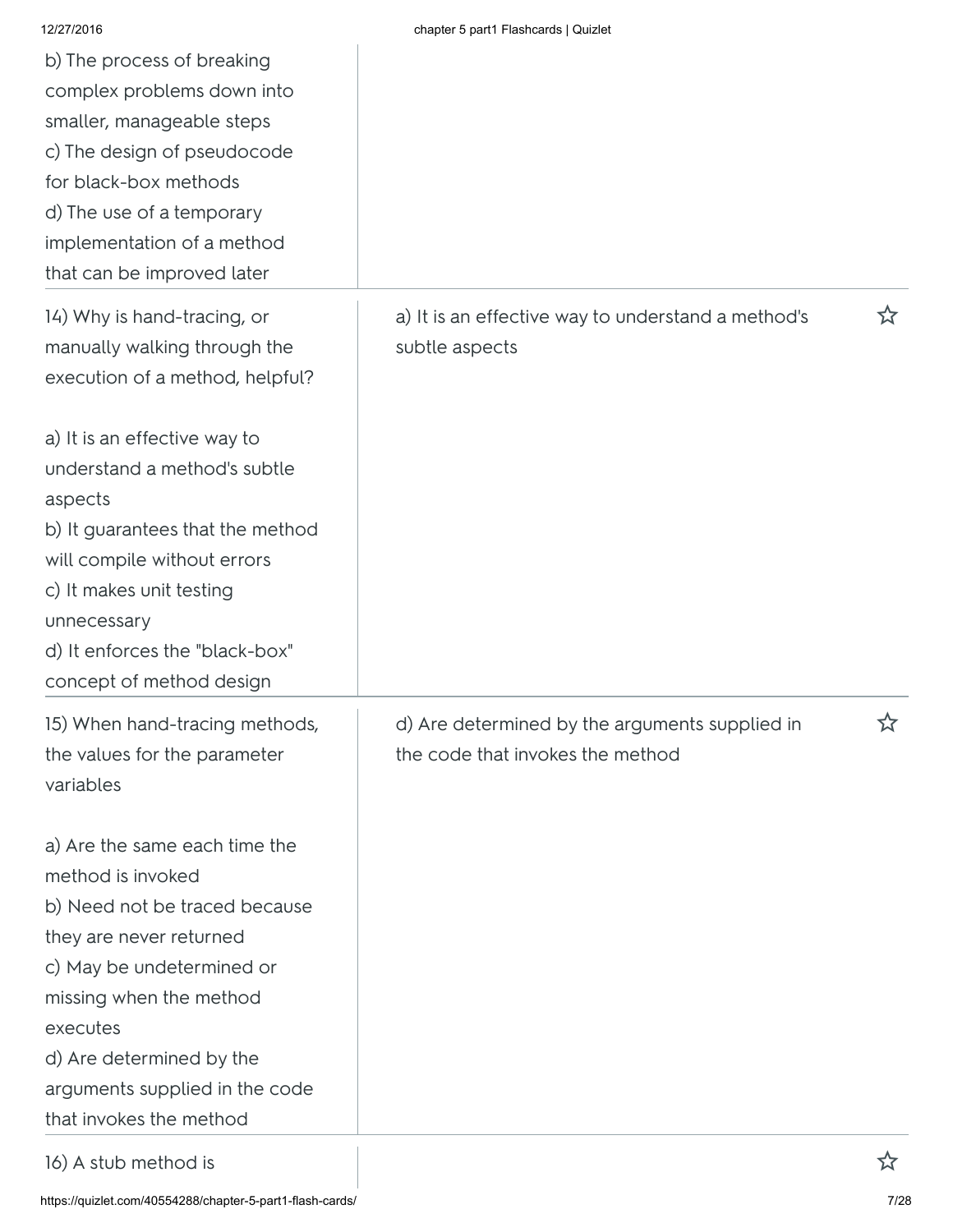| 12/27/2016                       | chapter 5 part1 Flashcards   Quizlet               |   |
|----------------------------------|----------------------------------------------------|---|
| b) The process of breaking       |                                                    |   |
| complex problems down into       |                                                    |   |
| smaller, manageable steps        |                                                    |   |
| c) The design of pseudocode      |                                                    |   |
| for black-box methods            |                                                    |   |
| d) The use of a temporary        |                                                    |   |
| implementation of a method       |                                                    |   |
| that can be improved later       |                                                    |   |
| 14) Why is hand-tracing, or      | a) It is an effective way to understand a method's | ☆ |
| manually walking through the     | subtle aspects                                     |   |
| execution of a method, helpful?  |                                                    |   |
| a) It is an effective way to     |                                                    |   |
| understand a method's subtle     |                                                    |   |
| aspects                          |                                                    |   |
| b) It guarantees that the method |                                                    |   |
| will compile without errors      |                                                    |   |
| c) It makes unit testing         |                                                    |   |
| unnecessary                      |                                                    |   |
| d) It enforces the "black-box"   |                                                    |   |
| concept of method design         |                                                    |   |
| 15) When hand-tracing methods,   | d) Are determined by the arguments supplied in     | ☆ |
| the values for the parameter     | the code that invokes the method                   |   |
| variables                        |                                                    |   |
| a) Are the same each time the    |                                                    |   |
| method is invoked                |                                                    |   |
| b) Need not be traced because    |                                                    |   |
| they are never returned          |                                                    |   |
| c) May be undetermined or        |                                                    |   |
| missing when the method          |                                                    |   |
| executes                         |                                                    |   |
| d) Are determined by the         |                                                    |   |
| arguments supplied in the code   |                                                    |   |
| that invokes the method          |                                                    |   |
| 16) A stub method is             |                                                    |   |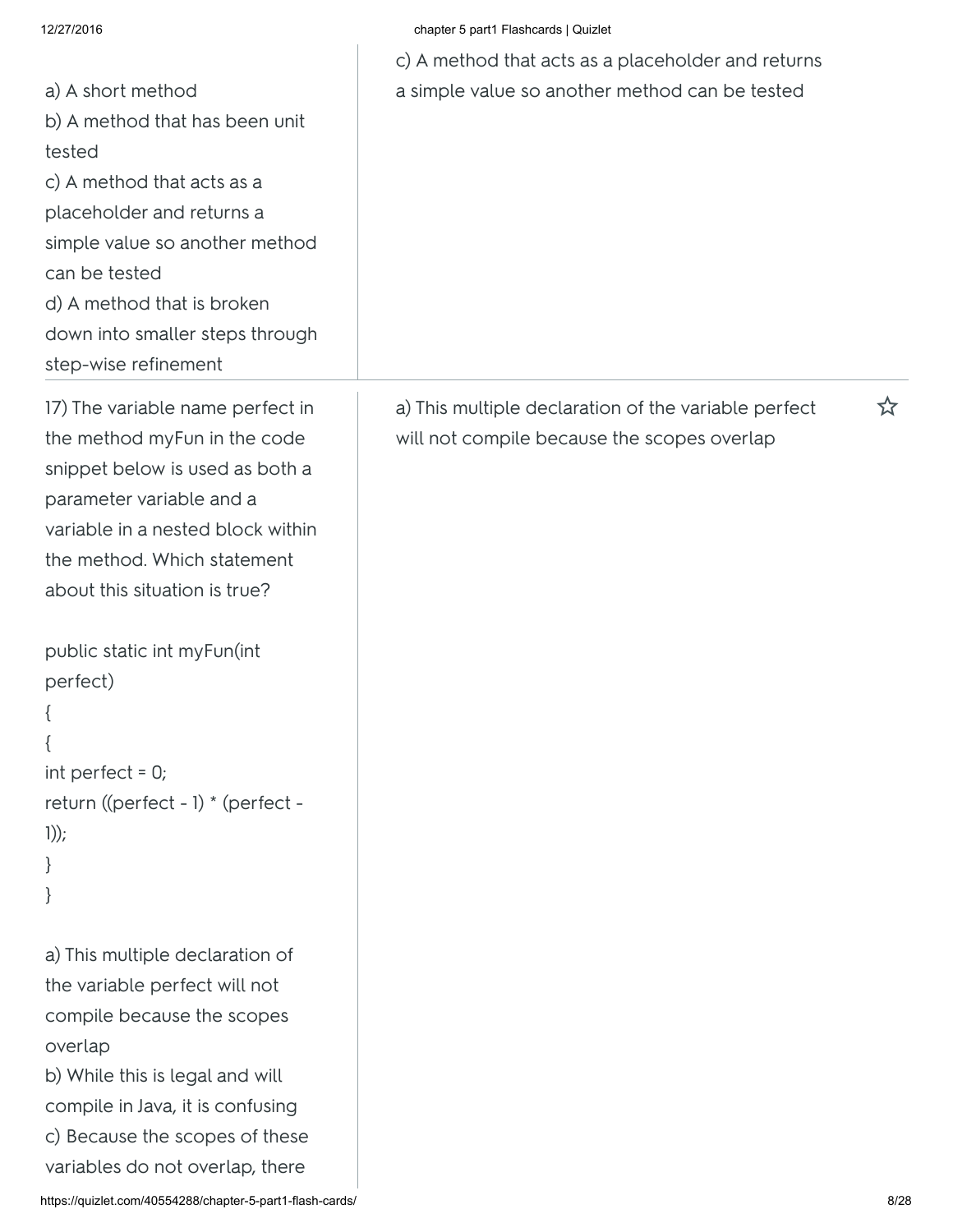| 12/27/2016                                                                                                                                                                                                                                                                                                                                              | chapter 5 part1 Flashcards   Quizlet                                                                |   |
|---------------------------------------------------------------------------------------------------------------------------------------------------------------------------------------------------------------------------------------------------------------------------------------------------------------------------------------------------------|-----------------------------------------------------------------------------------------------------|---|
|                                                                                                                                                                                                                                                                                                                                                         | c) A method that acts as a placeholder and returns                                                  |   |
| a) A short method<br>b) A method that has been unit<br>tested<br>c) A method that acts as a<br>placeholder and returns a<br>simple value so another method<br>can be tested<br>d) A method that is broken<br>down into smaller steps through<br>step-wise refinement                                                                                    | a simple value so another method can be tested                                                      |   |
| 17) The variable name perfect in<br>the method myFun in the code<br>snippet below is used as both a<br>parameter variable and a<br>variable in a nested block within<br>the method. Which statement<br>about this situation is true?<br>public static int myFun(int<br>perfect)<br>int perfect = $0$ ;<br>return ((perfect - 1) * (perfect -<br>$1))$ ; | a) This multiple declaration of the variable perfect<br>will not compile because the scopes overlap | ☆ |
| a) This multiple declaration of<br>the variable perfect will not<br>compile because the scopes<br>overlap<br>b) While this is legal and will<br>compile in Java, it is confusing<br>c) Because the scopes of these<br>variables do not overlap, there                                                                                                   |                                                                                                     |   |

### https://quizlet.com/40554288/chapter-5-part1-flash-cards/ 8/28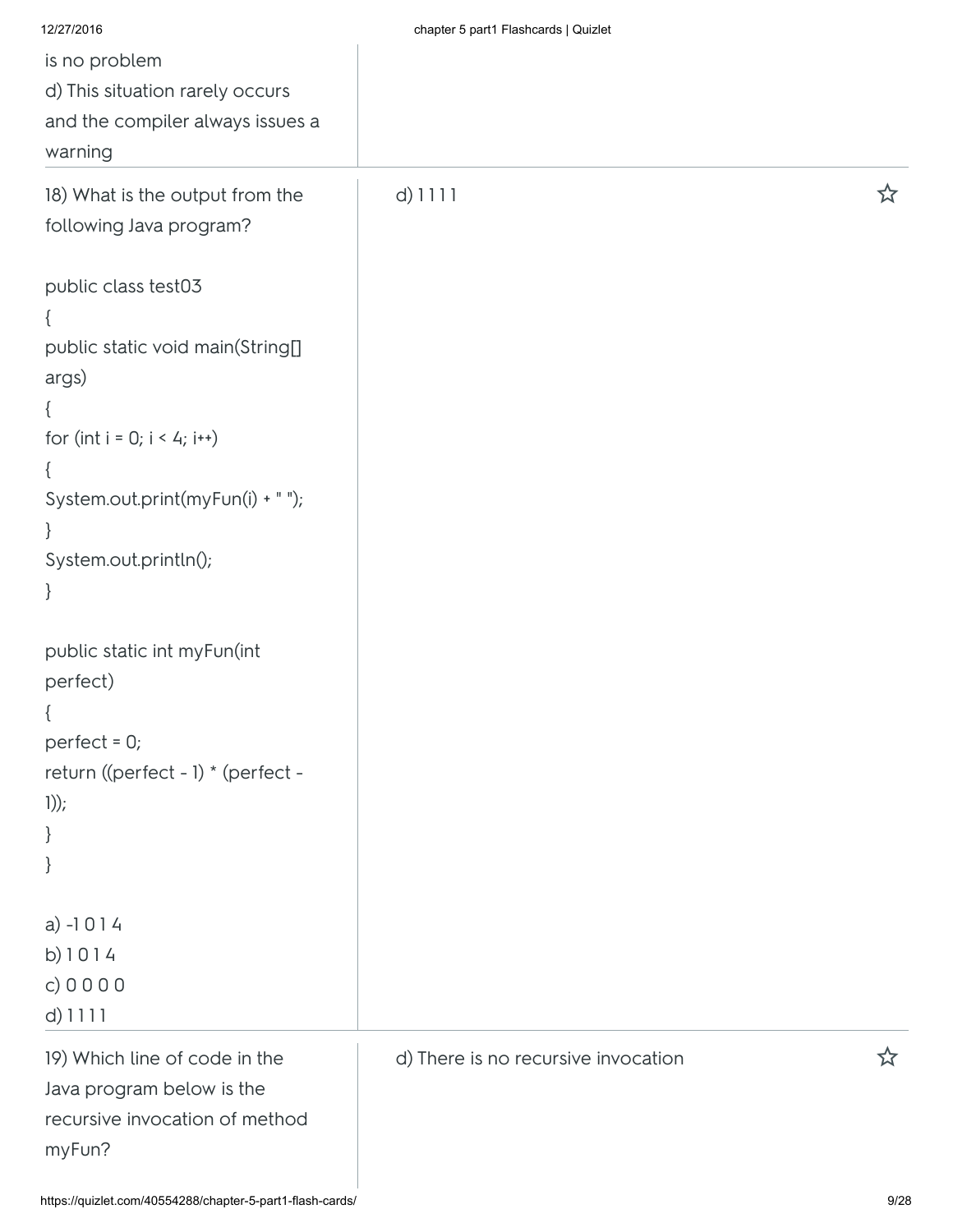| 12/27/2016                         | chapter 5 part1 Flashcards   Quizlet |   |
|------------------------------------|--------------------------------------|---|
| is no problem                      |                                      |   |
| d) This situation rarely occurs    |                                      |   |
| and the compiler always issues a   |                                      |   |
| warning                            |                                      |   |
| 18) What is the output from the    | $d)$ 1111                            | ☆ |
| following Java program?            |                                      |   |
| public class test03                |                                      |   |
|                                    |                                      |   |
| public static void main(String[]   |                                      |   |
| args)                              |                                      |   |
|                                    |                                      |   |
| for (int $i = 0; i < 4; i++)$      |                                      |   |
| $\mathfrak{c}$                     |                                      |   |
| System.out.print(myFun(i) + " ");  |                                      |   |
| }                                  |                                      |   |
| System.out.println();              |                                      |   |
| $\}$                               |                                      |   |
| public static int myFun(int        |                                      |   |
| perfect)                           |                                      |   |
|                                    |                                      |   |
| perfect = $0;$                     |                                      |   |
| return ((perfect - 1) * (perfect - |                                      |   |
| $1))$ ;                            |                                      |   |
| $\}$                               |                                      |   |
| $\}$                               |                                      |   |
| $a) -1014$                         |                                      |   |
| b) $1014$                          |                                      |   |
| c) $0000$                          |                                      |   |
| $d)$ 1111                          |                                      |   |
| 19) Which line of code in the      | d) There is no recursive invocation  | ☆ |
| Java program below is the          |                                      |   |
| recursive invocation of method     |                                      |   |
| myFun?                             |                                      |   |
|                                    |                                      |   |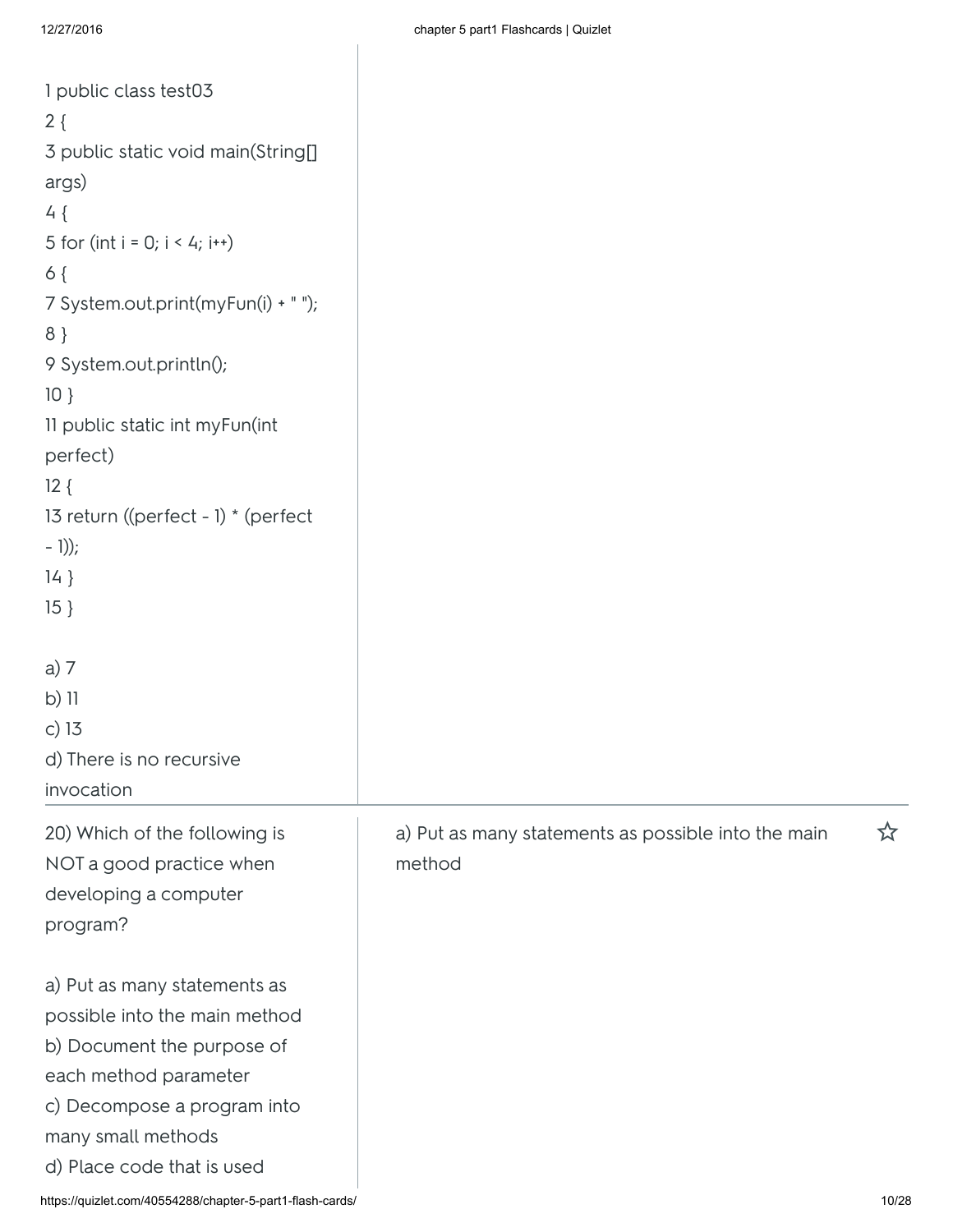| $2\{$<br>3 public static void main(String[]<br>args)<br>$4\{$<br>5 for (int i = 0; $i < 4$ ; i++)<br>$6\{$<br>7 System.out.print(myFun(i) + " ");<br>$8$ }<br>9 System.out.println();<br>$10$ }<br>11 public static int myFun(int<br>perfect)<br>$12\{$<br>13 return ((perfect - 1) * (perfect<br>$-1)$ ;<br>$14$ }<br>$15 \}$<br>a) 7<br>$b)$ 11<br>c) $13$<br>d) There is no recursive<br>invocation<br>a) Put as many statements as possible into the main<br>☆<br>20) Which of the following is<br>method<br>NOT a good practice when<br>developing a computer<br>program?<br>a) Put as many statements as<br>possible into the main method<br>b) Document the purpose of<br>each method parameter<br>c) Decompose a program into<br>many small methods<br>d) Place code that is used | 1 public class test03                                     |       |
|-------------------------------------------------------------------------------------------------------------------------------------------------------------------------------------------------------------------------------------------------------------------------------------------------------------------------------------------------------------------------------------------------------------------------------------------------------------------------------------------------------------------------------------------------------------------------------------------------------------------------------------------------------------------------------------------------------------------------------------------------------------------------------------------|-----------------------------------------------------------|-------|
|                                                                                                                                                                                                                                                                                                                                                                                                                                                                                                                                                                                                                                                                                                                                                                                           |                                                           |       |
|                                                                                                                                                                                                                                                                                                                                                                                                                                                                                                                                                                                                                                                                                                                                                                                           |                                                           |       |
|                                                                                                                                                                                                                                                                                                                                                                                                                                                                                                                                                                                                                                                                                                                                                                                           |                                                           |       |
|                                                                                                                                                                                                                                                                                                                                                                                                                                                                                                                                                                                                                                                                                                                                                                                           |                                                           |       |
|                                                                                                                                                                                                                                                                                                                                                                                                                                                                                                                                                                                                                                                                                                                                                                                           |                                                           |       |
|                                                                                                                                                                                                                                                                                                                                                                                                                                                                                                                                                                                                                                                                                                                                                                                           |                                                           |       |
|                                                                                                                                                                                                                                                                                                                                                                                                                                                                                                                                                                                                                                                                                                                                                                                           |                                                           |       |
|                                                                                                                                                                                                                                                                                                                                                                                                                                                                                                                                                                                                                                                                                                                                                                                           |                                                           |       |
|                                                                                                                                                                                                                                                                                                                                                                                                                                                                                                                                                                                                                                                                                                                                                                                           |                                                           |       |
|                                                                                                                                                                                                                                                                                                                                                                                                                                                                                                                                                                                                                                                                                                                                                                                           |                                                           |       |
|                                                                                                                                                                                                                                                                                                                                                                                                                                                                                                                                                                                                                                                                                                                                                                                           |                                                           |       |
|                                                                                                                                                                                                                                                                                                                                                                                                                                                                                                                                                                                                                                                                                                                                                                                           |                                                           |       |
|                                                                                                                                                                                                                                                                                                                                                                                                                                                                                                                                                                                                                                                                                                                                                                                           |                                                           |       |
|                                                                                                                                                                                                                                                                                                                                                                                                                                                                                                                                                                                                                                                                                                                                                                                           |                                                           |       |
|                                                                                                                                                                                                                                                                                                                                                                                                                                                                                                                                                                                                                                                                                                                                                                                           |                                                           |       |
|                                                                                                                                                                                                                                                                                                                                                                                                                                                                                                                                                                                                                                                                                                                                                                                           |                                                           |       |
|                                                                                                                                                                                                                                                                                                                                                                                                                                                                                                                                                                                                                                                                                                                                                                                           |                                                           |       |
|                                                                                                                                                                                                                                                                                                                                                                                                                                                                                                                                                                                                                                                                                                                                                                                           |                                                           |       |
|                                                                                                                                                                                                                                                                                                                                                                                                                                                                                                                                                                                                                                                                                                                                                                                           |                                                           |       |
|                                                                                                                                                                                                                                                                                                                                                                                                                                                                                                                                                                                                                                                                                                                                                                                           |                                                           |       |
|                                                                                                                                                                                                                                                                                                                                                                                                                                                                                                                                                                                                                                                                                                                                                                                           |                                                           |       |
|                                                                                                                                                                                                                                                                                                                                                                                                                                                                                                                                                                                                                                                                                                                                                                                           |                                                           |       |
|                                                                                                                                                                                                                                                                                                                                                                                                                                                                                                                                                                                                                                                                                                                                                                                           |                                                           |       |
|                                                                                                                                                                                                                                                                                                                                                                                                                                                                                                                                                                                                                                                                                                                                                                                           |                                                           |       |
|                                                                                                                                                                                                                                                                                                                                                                                                                                                                                                                                                                                                                                                                                                                                                                                           |                                                           |       |
|                                                                                                                                                                                                                                                                                                                                                                                                                                                                                                                                                                                                                                                                                                                                                                                           |                                                           |       |
|                                                                                                                                                                                                                                                                                                                                                                                                                                                                                                                                                                                                                                                                                                                                                                                           |                                                           |       |
|                                                                                                                                                                                                                                                                                                                                                                                                                                                                                                                                                                                                                                                                                                                                                                                           |                                                           |       |
|                                                                                                                                                                                                                                                                                                                                                                                                                                                                                                                                                                                                                                                                                                                                                                                           |                                                           |       |
|                                                                                                                                                                                                                                                                                                                                                                                                                                                                                                                                                                                                                                                                                                                                                                                           |                                                           |       |
|                                                                                                                                                                                                                                                                                                                                                                                                                                                                                                                                                                                                                                                                                                                                                                                           |                                                           |       |
|                                                                                                                                                                                                                                                                                                                                                                                                                                                                                                                                                                                                                                                                                                                                                                                           |                                                           |       |
|                                                                                                                                                                                                                                                                                                                                                                                                                                                                                                                                                                                                                                                                                                                                                                                           |                                                           |       |
|                                                                                                                                                                                                                                                                                                                                                                                                                                                                                                                                                                                                                                                                                                                                                                                           |                                                           |       |
|                                                                                                                                                                                                                                                                                                                                                                                                                                                                                                                                                                                                                                                                                                                                                                                           |                                                           |       |
|                                                                                                                                                                                                                                                                                                                                                                                                                                                                                                                                                                                                                                                                                                                                                                                           | https://quizlet.com/40554288/chapter-5-part1-flash-cards/ | 10/28 |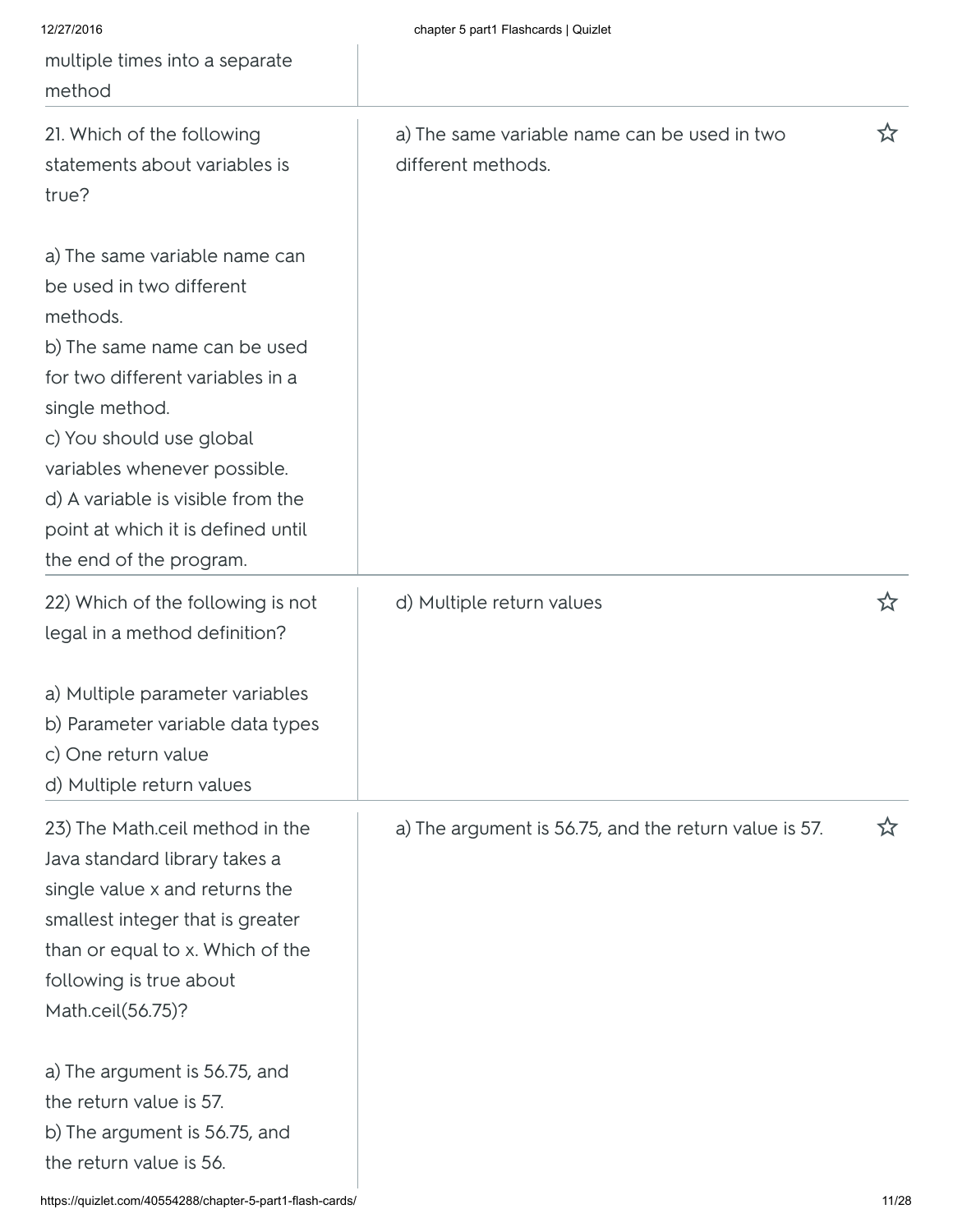| 12/27/2016<br>multiple times into a separate<br>method                                                                                                                                                                                                                                                                        | chapter 5 part1 Flashcards   Quizlet                               |   |
|-------------------------------------------------------------------------------------------------------------------------------------------------------------------------------------------------------------------------------------------------------------------------------------------------------------------------------|--------------------------------------------------------------------|---|
| 21. Which of the following<br>statements about variables is<br>true?                                                                                                                                                                                                                                                          | a) The same variable name can be used in two<br>different methods. | ☆ |
| a) The same variable name can<br>be used in two different<br>methods.<br>b) The same name can be used<br>for two different variables in a<br>single method.<br>c) You should use global<br>variables whenever possible.<br>d) A variable is visible from the<br>point at which it is defined until<br>the end of the program. |                                                                    |   |
| 22) Which of the following is not<br>legal in a method definition?                                                                                                                                                                                                                                                            | d) Multiple return values                                          | ☆ |
| a) Multiple parameter variables<br>b) Parameter variable data types<br>c) One return value<br>d) Multiple return values                                                                                                                                                                                                       |                                                                    |   |
| 23) The Math.ceil method in the<br>Java standard library takes a<br>single value x and returns the<br>smallest integer that is greater<br>than or equal to x. Which of the<br>following is true about<br>Math.ceil(56.75)?                                                                                                    | a) The argument is 56.75, and the return value is 57.              | ☆ |
| a) The argument is 56.75, and<br>the return value is 57.<br>b) The argument is 56.75, and<br>the return value is 56.                                                                                                                                                                                                          |                                                                    |   |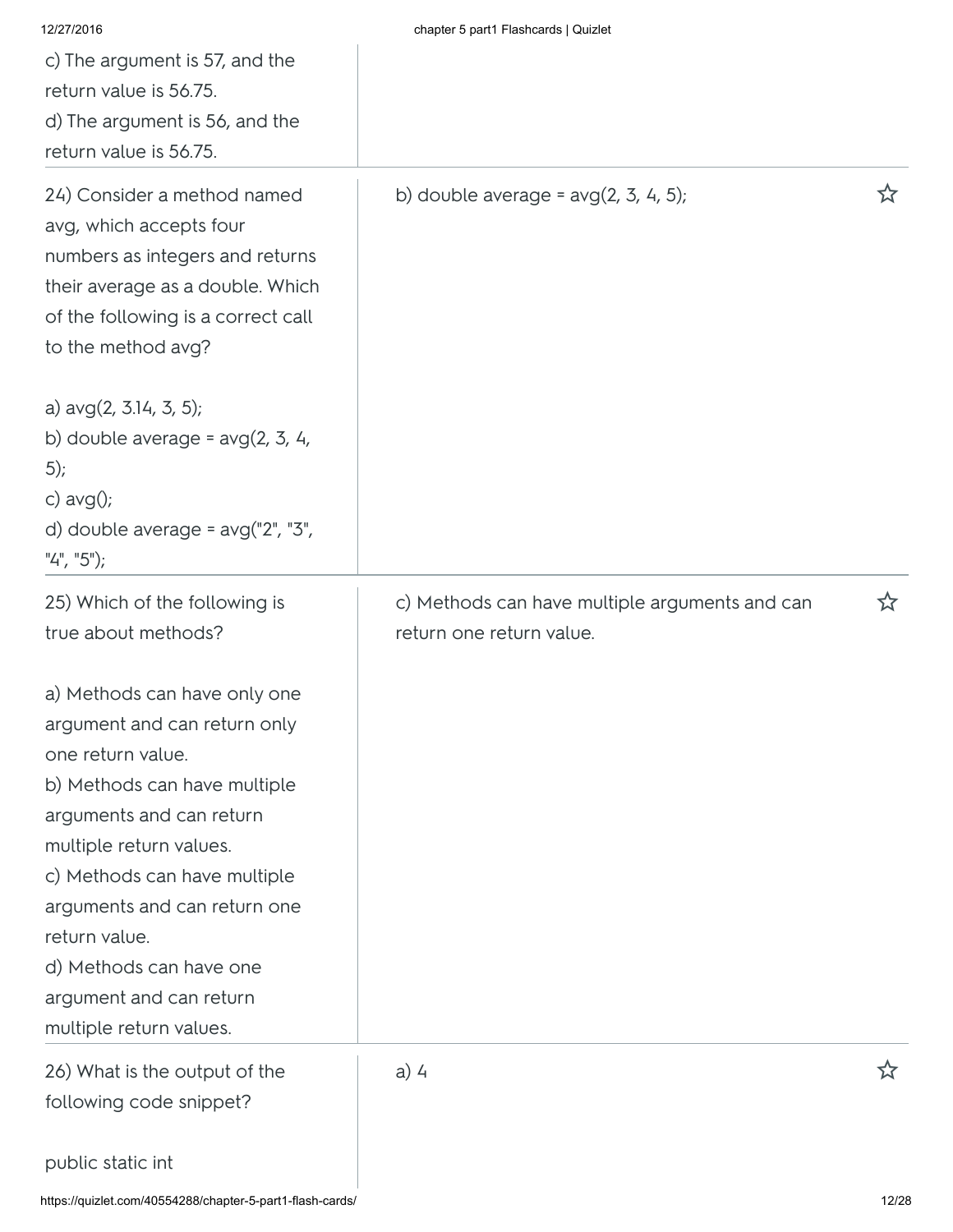| 12/27/2016<br>c) The argument is 57, and the<br>return value is 56.75.<br>d) The argument is 56, and the<br>return value is 56.75.                                                                                                                                                                                                         | chapter 5 part1 Flashcards   Quizlet                                       |    |
|--------------------------------------------------------------------------------------------------------------------------------------------------------------------------------------------------------------------------------------------------------------------------------------------------------------------------------------------|----------------------------------------------------------------------------|----|
| 24) Consider a method named<br>avg, which accepts four<br>numbers as integers and returns<br>their average as a double. Which<br>of the following is a correct call<br>to the method avg?                                                                                                                                                  | b) double average = $avg(2, 3, 4, 5);$                                     | ☆  |
| a) $avg(2, 3.14, 3, 5);$<br>b) double average = $avg(2, 3, 4, 1)$<br>$(5)$ ;<br>c) $avg()$ ;<br>d) double average = $avg("2", "3",$<br>" $4$ ", " $5$ ");                                                                                                                                                                                  |                                                                            |    |
| 25) Which of the following is<br>true about methods?                                                                                                                                                                                                                                                                                       | c) Methods can have multiple arguments and can<br>return one return value. | ኢን |
| a) Methods can have only one<br>argument and can return only<br>one return value.<br>b) Methods can have multiple<br>arguments and can return<br>multiple return values.<br>c) Methods can have multiple<br>arguments and can return one<br>return value.<br>d) Methods can have one<br>argument and can return<br>multiple return values. |                                                                            |    |
| 26) What is the output of the<br>following code snippet?                                                                                                                                                                                                                                                                                   | $a)$ 4                                                                     | ☆  |
| public static int                                                                                                                                                                                                                                                                                                                          |                                                                            |    |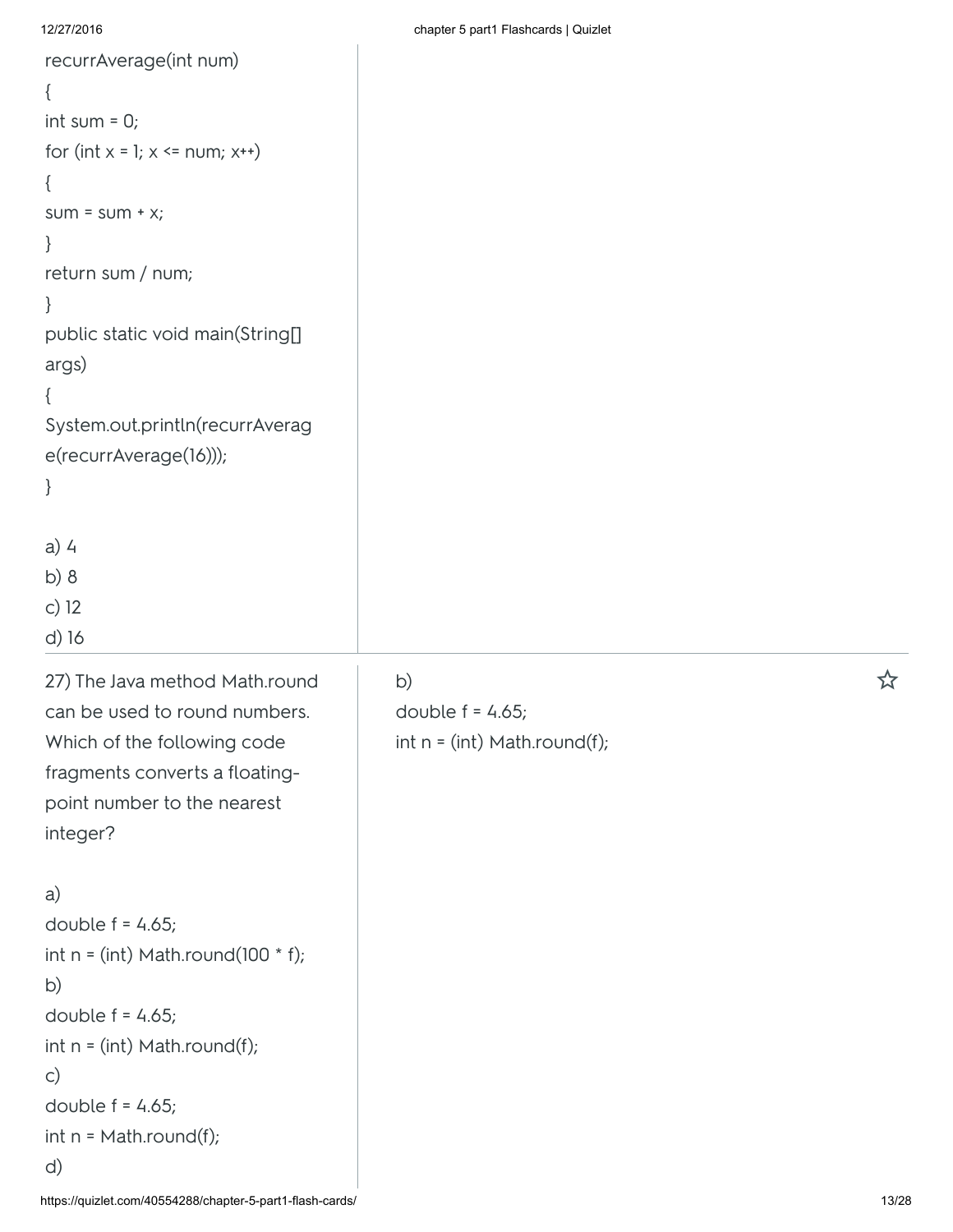d) 16

```
recurrAverage(int num)
{
int sum = 0;
for (int x = 1; x \le num; x<sup>++</sup>)
{
sum = sum + x;}
return sum / num;
}
public static void main(String[]
args)
{
System.out.println(recurrAverag
e(recurrAverage(16)));
}
a) 4
b) 8
c) 12
```
27) The Java method Math.round can be used to round numbers. Which of the following code fragments converts a floatingpoint number to the nearest integer?

a) double  $f = 4.65$ ; int  $n = (int) Math.round(100 * f);$ b) double  $f = 4.65$ ;  $int n = (int) Math. round(f);$ c) double  $f = 4.65$ ; int n = Math.round(f); d)

double  $f = 4.65$ ;  $int n = (int) Math. round(f);$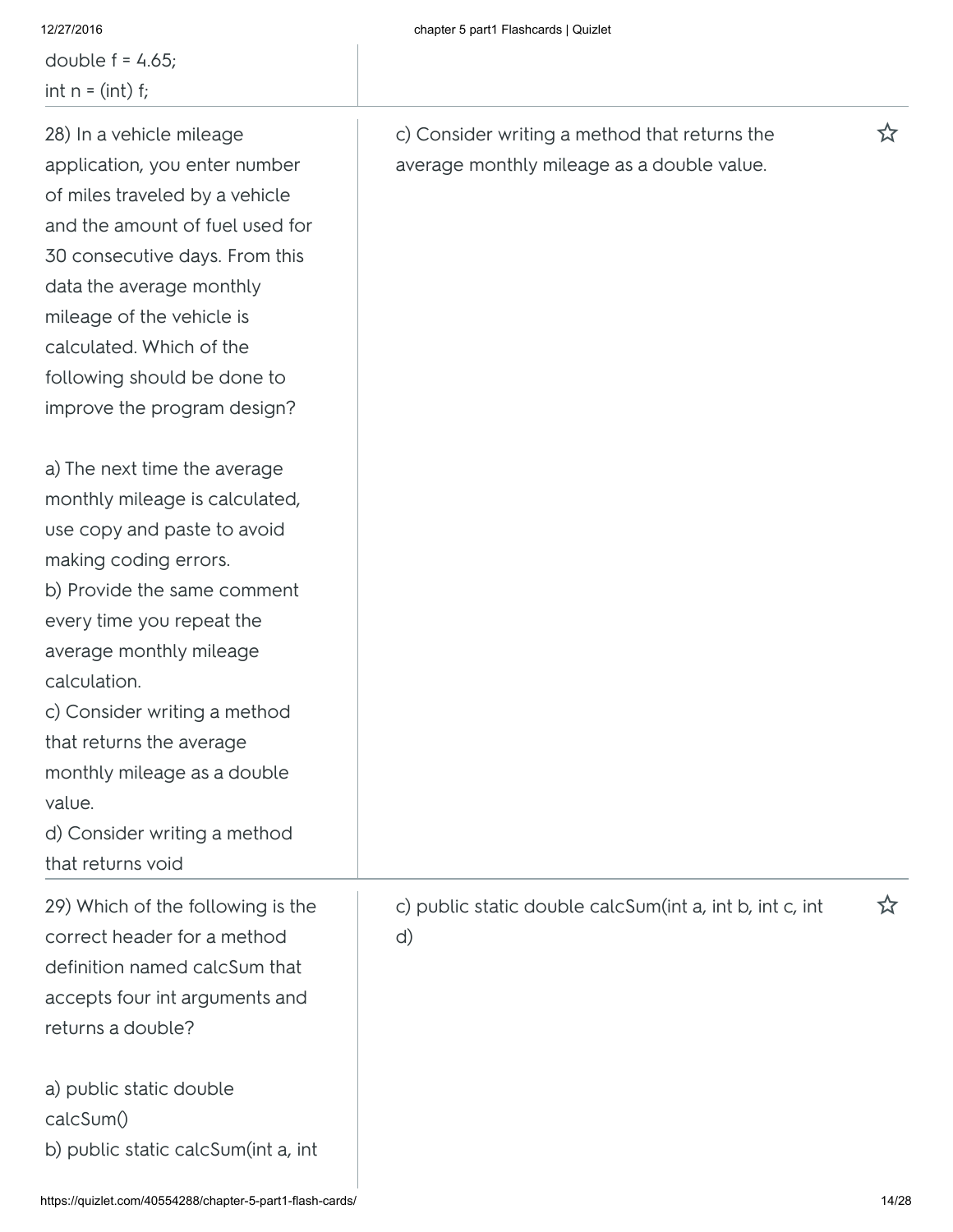double  $f = 4.65$ ; int  $n = (int) f$ ;

# 28) In a vehicle mileage application, you enter number of miles traveled by a vehicle and the amount of fuel used for 30 consecutive days. From this data the average monthly mileage of the vehicle is calculated. Which of the following should be done to improve the program design?

a) The next time the average monthly mileage is calculated, use copy and paste to avoid making coding errors. b) Provide the same comment every time you repeat the average monthly mileage calculation. c) Consider writing a method that returns the average

monthly mileage as a double value.

d) Consider writing a method that returns void

29) Which of the following is the correct header for a method definition named calcSum that accepts four int arguments and returns a double?

d)

a) public static double calcSum() b) public static calcSum(int a, int c) Consider writing a method that returns the  $\hat{X}$ average monthly mileage as a double value.

c) public static double calcSum(int a, int b, int c, int  $\hat{X}$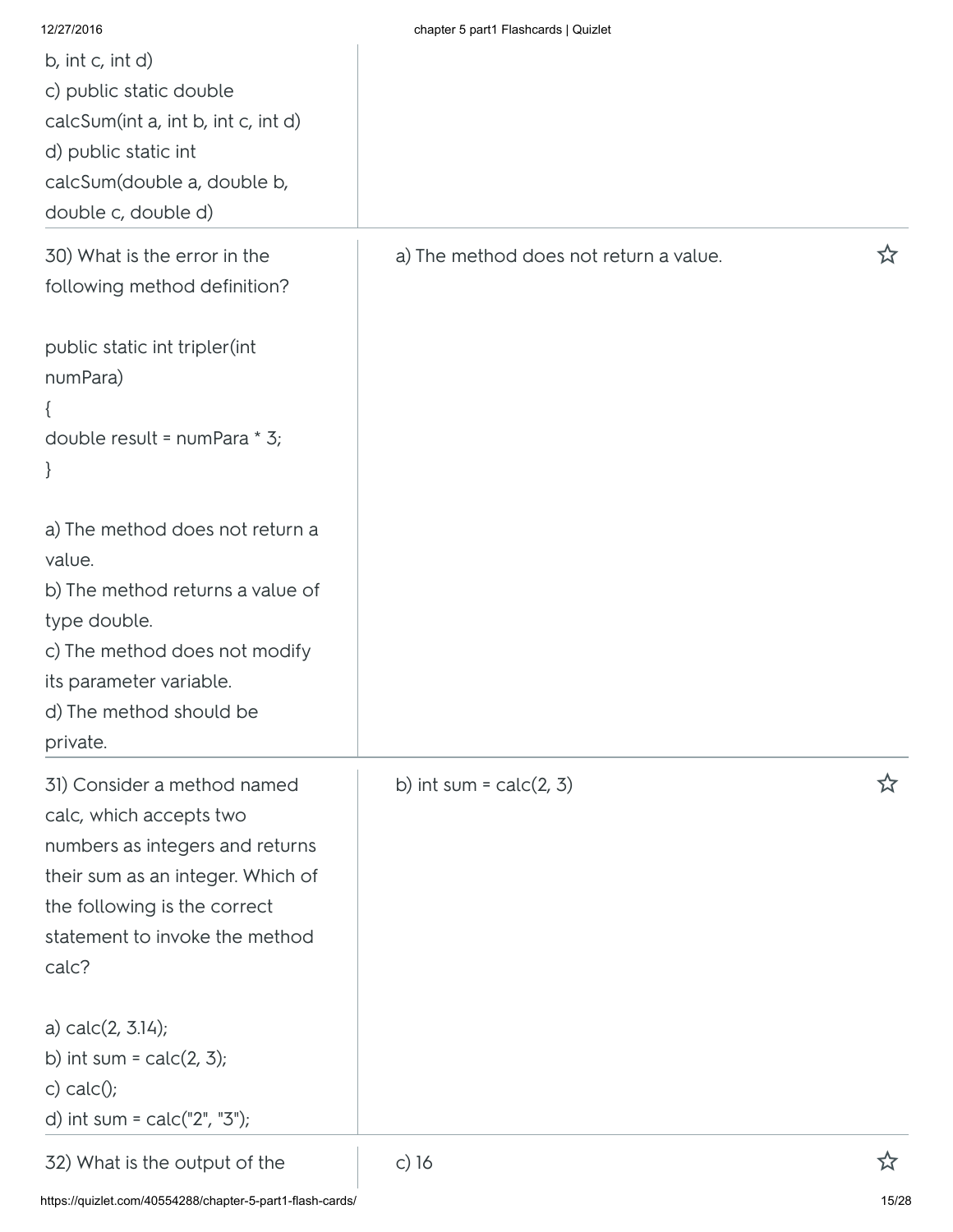| 12/27/2016                                                        | chapter 5 part1 Flashcards   Quizlet   |   |
|-------------------------------------------------------------------|----------------------------------------|---|
| b, int $c$ , int $d$ )<br>c) public static double                 |                                        |   |
| calcSum(int a, int b, int c, int d)                               |                                        |   |
| d) public static int                                              |                                        |   |
| calcSum(double a, double b,                                       |                                        |   |
| double c, double d)                                               |                                        |   |
| 30) What is the error in the                                      | a) The method does not return a value. | ☆ |
| following method definition?                                      |                                        |   |
| public static int tripler(int                                     |                                        |   |
| numPara)                                                          |                                        |   |
|                                                                   |                                        |   |
| double result = numPara * 3;                                      |                                        |   |
| $\}$                                                              |                                        |   |
| a) The method does not return a                                   |                                        |   |
| value.                                                            |                                        |   |
| b) The method returns a value of                                  |                                        |   |
| type double.                                                      |                                        |   |
| c) The method does not modify<br>its parameter variable.          |                                        |   |
| d) The method should be                                           |                                        |   |
| private.                                                          |                                        |   |
| 31) Consider a method named                                       | b) int sum = $calc(2, 3)$              | ☆ |
| calc, which accepts two                                           |                                        |   |
| numbers as integers and returns                                   |                                        |   |
| their sum as an integer. Which of<br>the following is the correct |                                        |   |
| statement to invoke the method                                    |                                        |   |
| calc?                                                             |                                        |   |
| a) $calc(2, 3.14)$ ;                                              |                                        |   |
| b) int sum = $calc(2, 3);$                                        |                                        |   |
| c) $calc()$ ;                                                     |                                        |   |
| d) int sum = $calc("2", "3");$                                    |                                        |   |
| 32) What is the output of the                                     | c) 16                                  |   |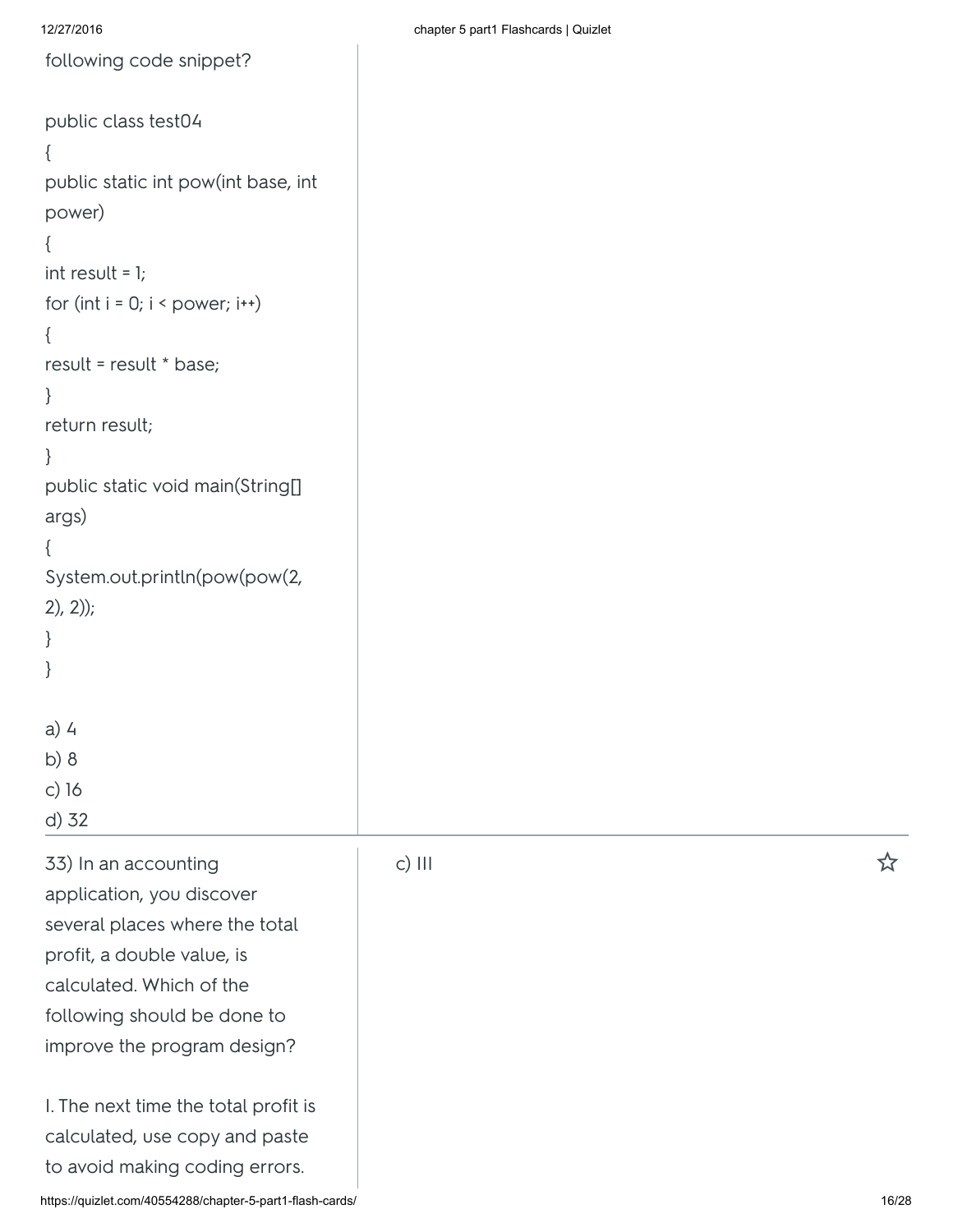```
following code snippet?
public class test04
{
public static int pow(int base, int
power)
{
int result = 1;
for (int i = 0; i < power; i++){
result = result * base;
}
return result;
}
public static void main(String[]
args)
{
System.out.println(pow(pow(2,
2), 2);
}
}
a) 4
b) 8
```
33) In an accounting application, you discover several places where the total profit, a double value, is calculated. Which of the following should be done to improve the program design?

c) 16

d) 32

I. The next time the total profit is calculated, use copy and paste to avoid making coding errors.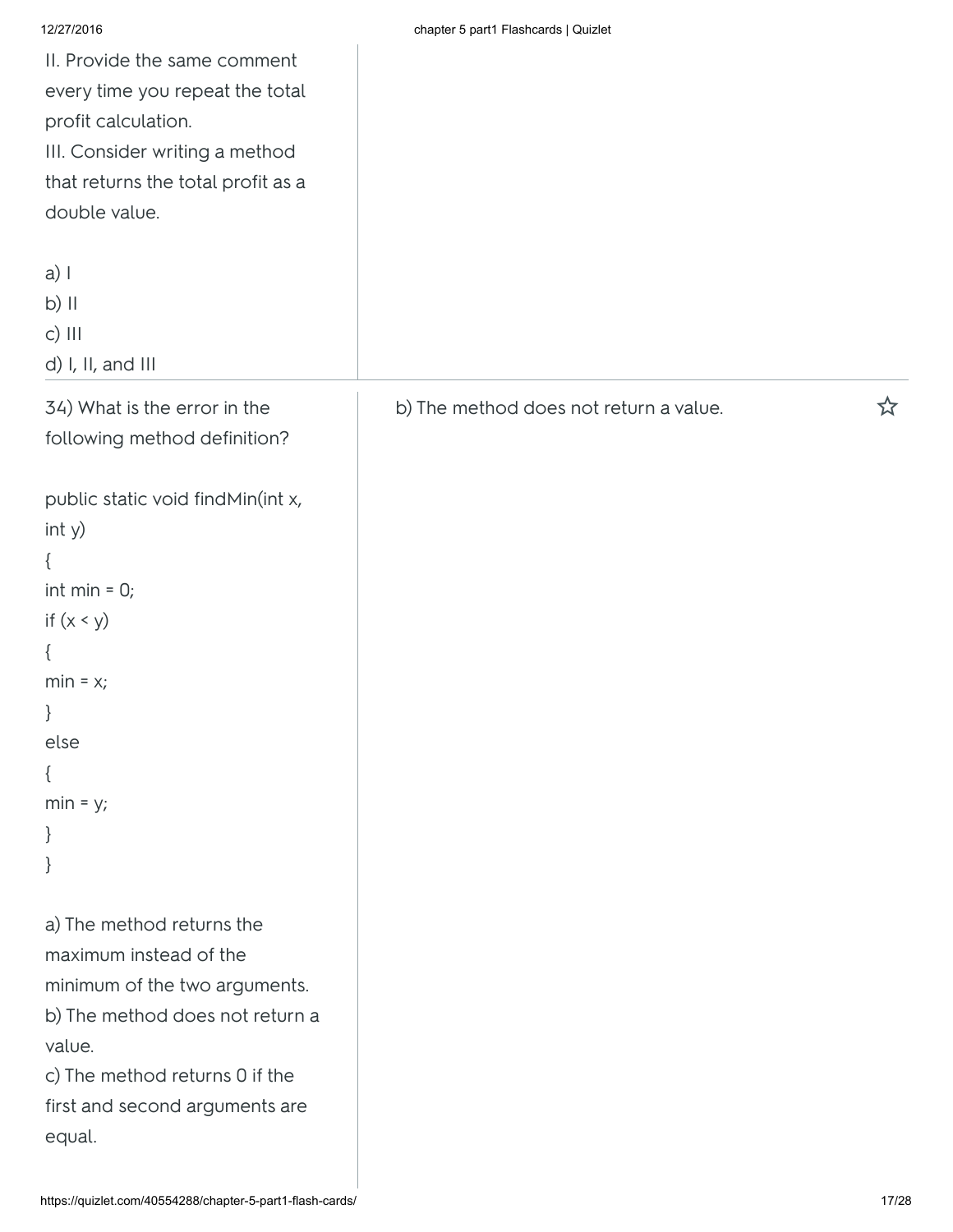| 12/27/2016                         | chapter 5 part1 Flashcards   Quizlet   |   |
|------------------------------------|----------------------------------------|---|
| II. Provide the same comment       |                                        |   |
| every time you repeat the total    |                                        |   |
| profit calculation.                |                                        |   |
| III. Consider writing a method     |                                        |   |
| that returns the total profit as a |                                        |   |
| double value.                      |                                        |   |
|                                    |                                        |   |
| $a)$                               |                                        |   |
| $b)$ II                            |                                        |   |
| $c)$ $   $                         |                                        |   |
| d) I, II, and III                  |                                        |   |
|                                    |                                        |   |
| 34) What is the error in the       | b) The method does not return a value. | ☆ |
| following method definition?       |                                        |   |
|                                    |                                        |   |
| public static void findMin(int x,  |                                        |   |
| int y)                             |                                        |   |
| €                                  |                                        |   |
| int min $= 0;$                     |                                        |   |
| if $(x < y)$                       |                                        |   |
| ₹                                  |                                        |   |
| $min = x;$                         |                                        |   |
| $\}$                               |                                        |   |
| else                               |                                        |   |
| $\{$                               |                                        |   |
| $min = y;$                         |                                        |   |
| $\}$                               |                                        |   |
| }                                  |                                        |   |
|                                    |                                        |   |
| a) The method returns the          |                                        |   |
| maximum instead of the             |                                        |   |
| minimum of the two arguments.      |                                        |   |
| b) The method does not return a    |                                        |   |
| value.                             |                                        |   |
| c) The method returns 0 if the     |                                        |   |
|                                    |                                        |   |
| first and second arguments are     |                                        |   |
| equal.                             |                                        |   |
|                                    |                                        |   |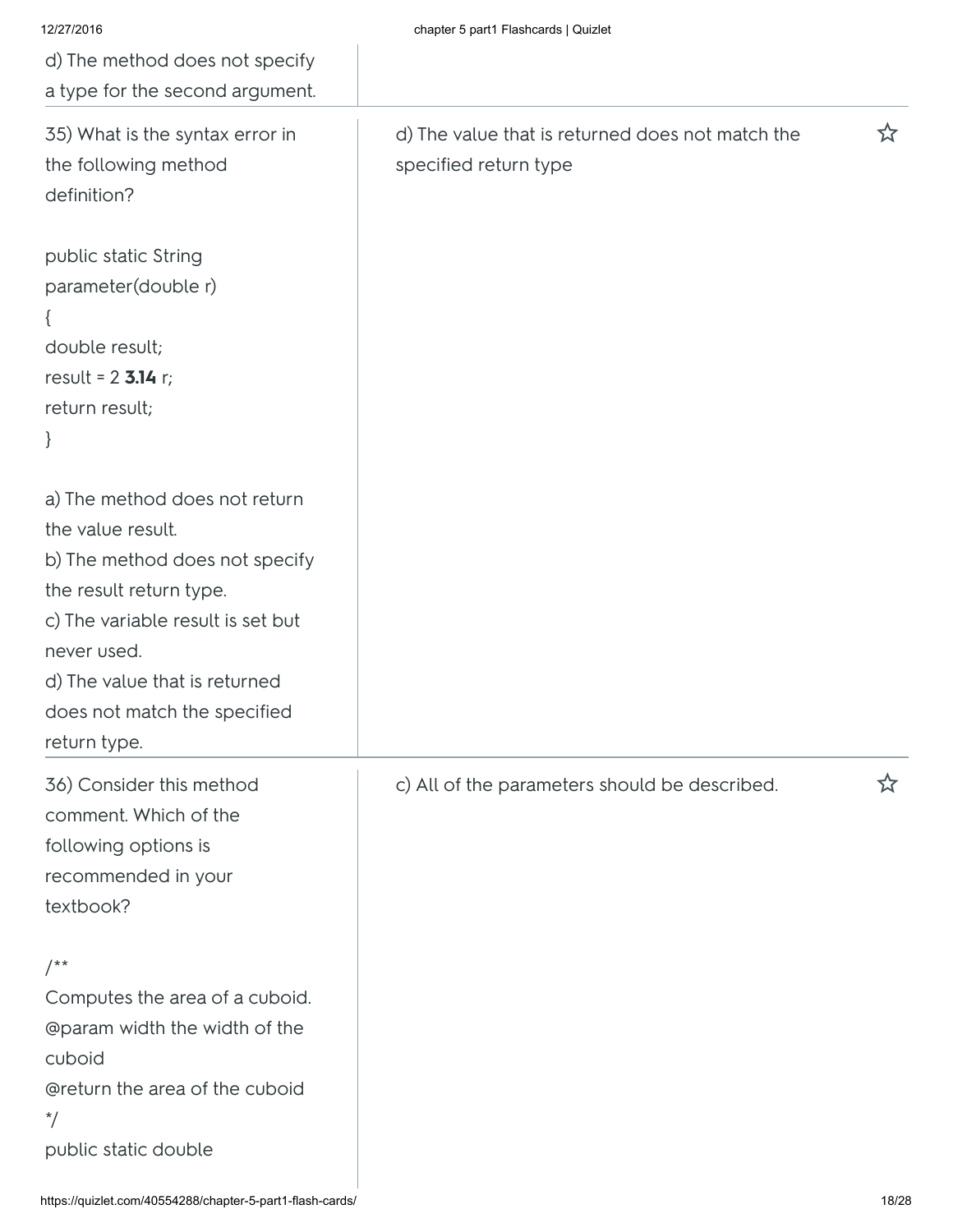| 12/27/2016<br>d) The method does not specify                                                                                                                                                                                                         | chapter 5 part1 Flashcards   Quizlet                                      |   |
|------------------------------------------------------------------------------------------------------------------------------------------------------------------------------------------------------------------------------------------------------|---------------------------------------------------------------------------|---|
| a type for the second argument.                                                                                                                                                                                                                      |                                                                           |   |
| 35) What is the syntax error in<br>the following method<br>definition?                                                                                                                                                                               | d) The value that is returned does not match the<br>specified return type | ☆ |
| public static String<br>parameter(double r)<br>double result;<br>result = $2$ 3.14 r;<br>return result;<br>$\}$                                                                                                                                      |                                                                           |   |
| a) The method does not return<br>the value result.<br>b) The method does not specify<br>the result return type.<br>c) The variable result is set but<br>never used.<br>d) The value that is returned<br>does not match the specified<br>return type. |                                                                           |   |
| 36) Consider this method<br>comment. Which of the<br>following options is<br>recommended in your<br>textbook?                                                                                                                                        | c) All of the parameters should be described.                             | ☆ |
| $/$ **<br>Computes the area of a cuboid.<br><b>@param width the width of the</b><br>cuboid<br>@return the area of the cuboid<br>$^*/$<br>public static double                                                                                        |                                                                           |   |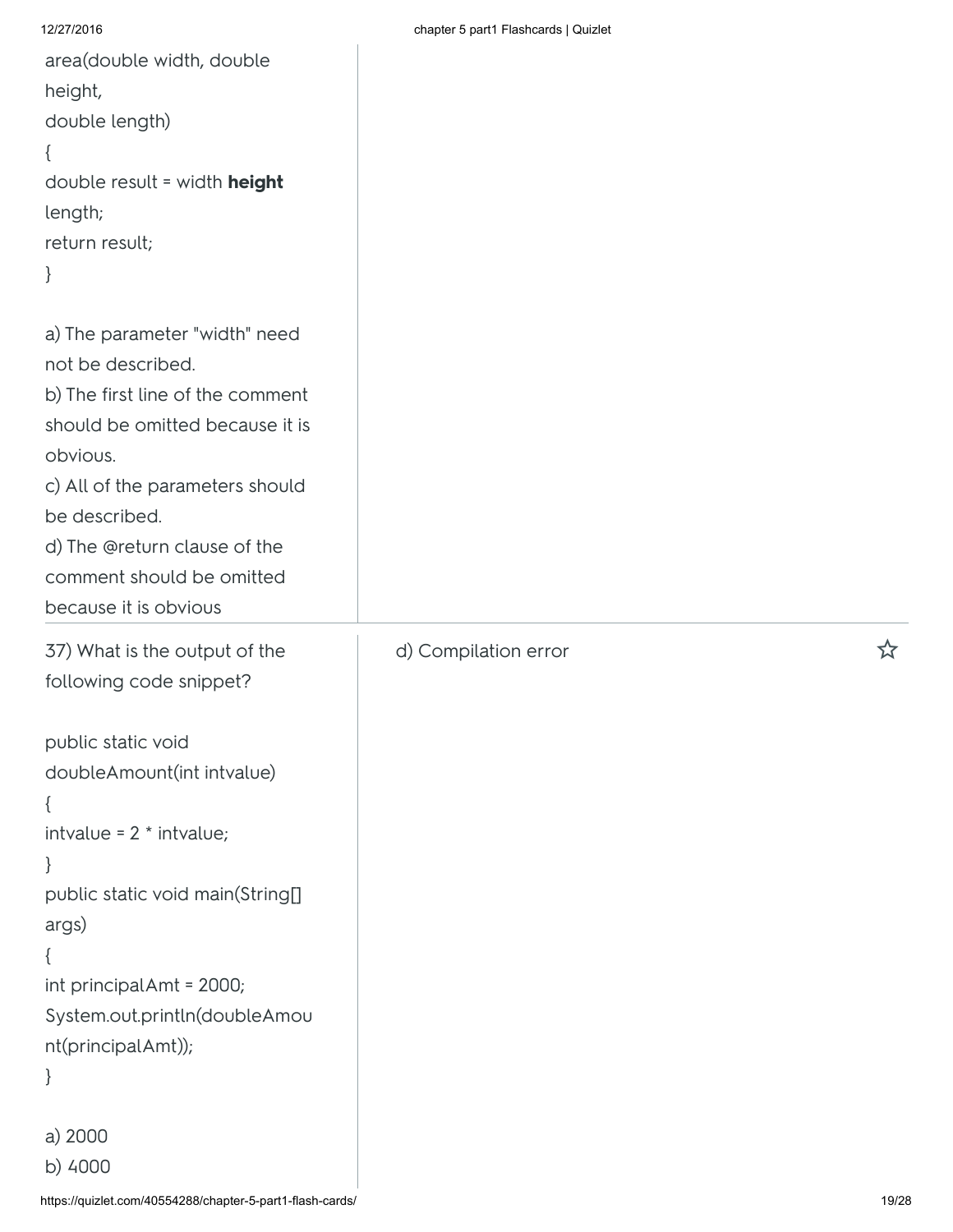```
https://quizlet.com/40554288/chapter-5-part1-flash-cards/ 19/28
area(double width, double
height,
double length)
{
double result = width height
length;
return result;
}
a) The parameter "width" need
not be described.
b) The first line of the comment
should be omitted because it is
obvious.
c) All of the parameters should
be described.
d) The @return clause of the
comment should be omitted
because it is obvious
37) What is the output of the
following code snippet?
public static void
doubleAmount(int intvalue)
{
intvalue = 2 * intvalue;}
public static void main(String[]
args)
{
int principalAmt = 2000;
System.out.println(doubleAmou
nt(principalAmt));
}
a) 2000
b) 4000
                                      d) Compilation error
```
12/27/2016 chapter 5 part1 Flashcards | Quizlet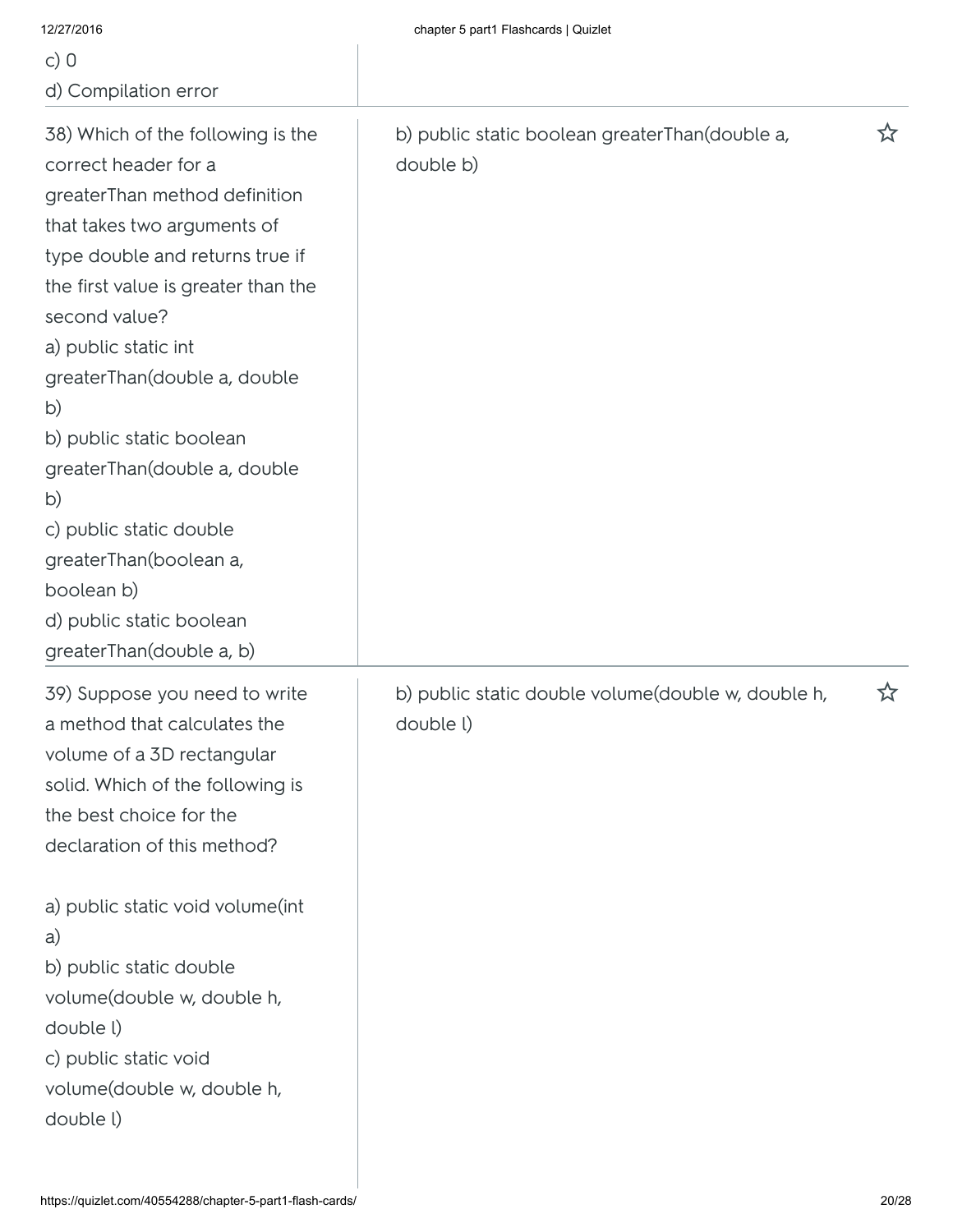| 12/27/2016                                                                                                                                                                                                                                                                                                                                                                                                                                                                      | chapter 5 part1 Flashcards   Quizlet                            |    |
|---------------------------------------------------------------------------------------------------------------------------------------------------------------------------------------------------------------------------------------------------------------------------------------------------------------------------------------------------------------------------------------------------------------------------------------------------------------------------------|-----------------------------------------------------------------|----|
| c) $0$                                                                                                                                                                                                                                                                                                                                                                                                                                                                          |                                                                 |    |
| d) Compilation error                                                                                                                                                                                                                                                                                                                                                                                                                                                            |                                                                 |    |
| 38) Which of the following is the<br>correct header for a<br>greaterThan method definition<br>that takes two arguments of<br>type double and returns true if<br>the first value is greater than the<br>second value?<br>a) public static int<br>greaterThan(double a, double<br>b)<br>b) public static boolean<br>greaterThan(double a, double<br>b)<br>c) public static double<br>greaterThan(boolean a,<br>boolean b)<br>d) public static boolean<br>greaterThan(double a, b) | b) public static boolean greaterThan(double a,<br>double b)     | ኢ7 |
| 39) Suppose you need to write<br>a method that calculates the<br>volume of a 3D rectangular<br>solid. Which of the following is<br>the best choice for the<br>declaration of this method?<br>a) public static void volume(int<br>a)<br>b) public static double<br>volume (double w, double h,<br>double l)<br>c) public static void<br>volume (double w, double h,<br>double l)                                                                                                 | b) public static double volume(double w, double h,<br>double l) | ☆  |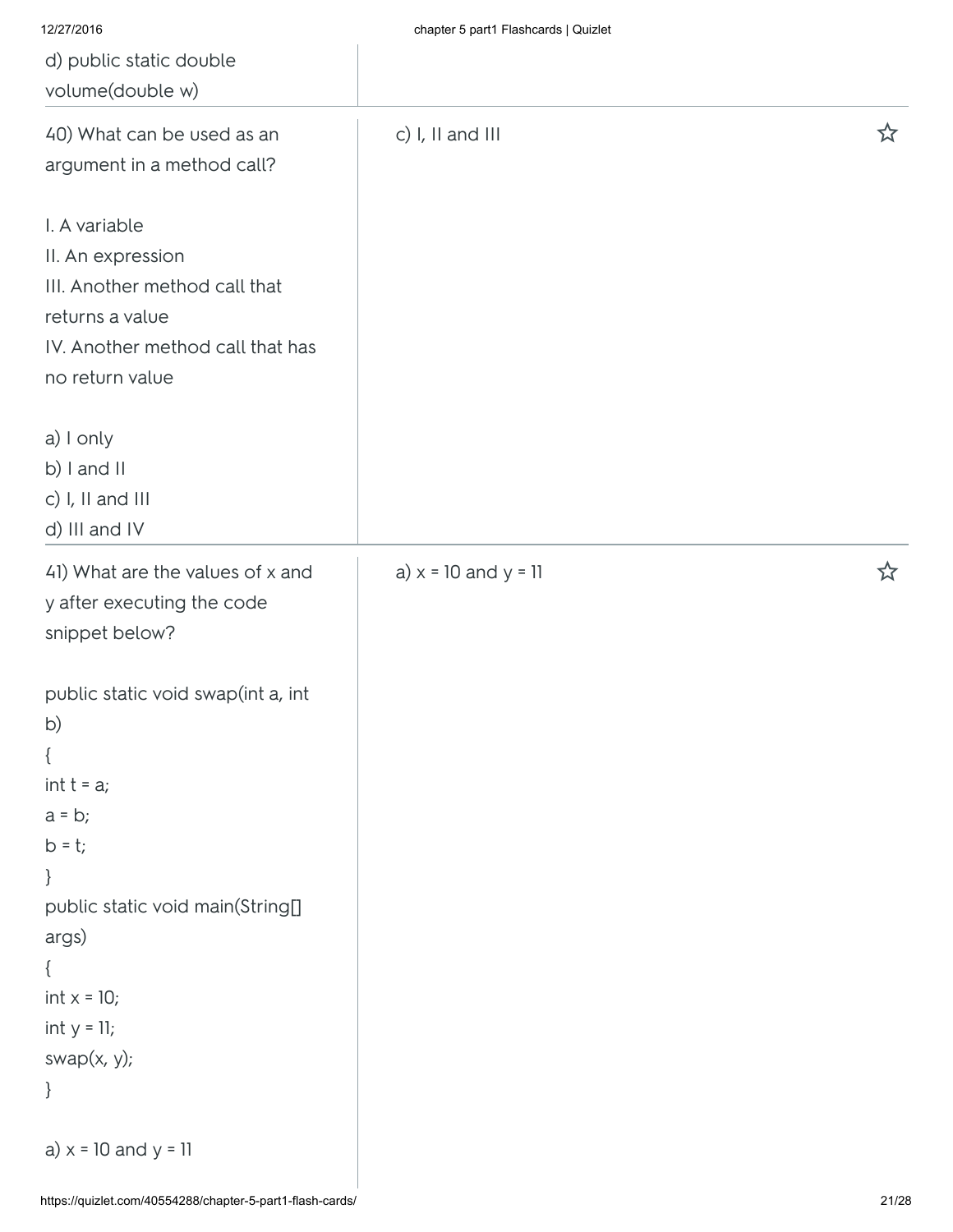| 12/27/2016                                                                                                                                                                                                      | chapter 5 part1 Flashcards   Quizlet |   |
|-----------------------------------------------------------------------------------------------------------------------------------------------------------------------------------------------------------------|--------------------------------------|---|
| d) public static double                                                                                                                                                                                         |                                      |   |
| volume(double w)                                                                                                                                                                                                |                                      |   |
| 40) What can be used as an<br>argument in a method call?                                                                                                                                                        | c) I, II and III                     | ☆ |
| I. A variable<br>II. An expression<br>III. Another method call that<br>returns a value<br>IV. Another method call that has<br>no return value                                                                   |                                      |   |
| a) I only<br>b) I and II<br>c) I, II and III<br>d) III and IV                                                                                                                                                   |                                      |   |
| 41) What are the values of x and<br>y after executing the code<br>snippet below?                                                                                                                                | a) $x = 10$ and $y = 11$             | ☆ |
| public static void swap(int a, int<br>b)<br>$\{$<br>$int t = a;$<br>$a = b;$<br>$b = t;$<br>}<br>public static void main(String[]<br>args)<br>$\{$<br>$int x = 10;$<br>$int y = 11;$<br>swap $(x, y)$ ;<br>$\}$ |                                      |   |
| a) $x = 10$ and $y = 11$                                                                                                                                                                                        |                                      |   |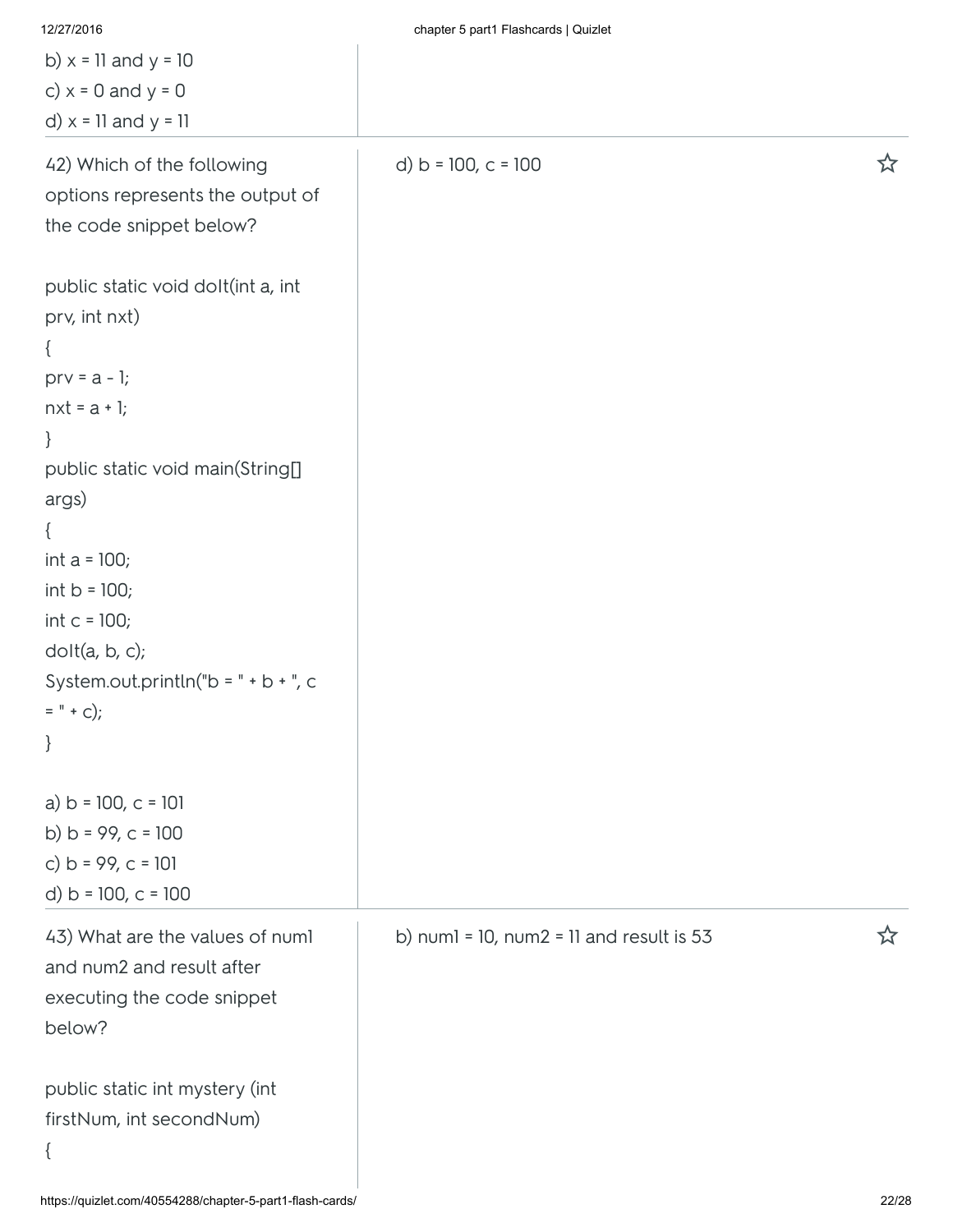| 12/27/2016                                | chapter 5 part1 Flashcards   Quizlet            |    |
|-------------------------------------------|-------------------------------------------------|----|
| b) $x = 11$ and $y = 10$                  |                                                 |    |
| c) $x = 0$ and $y = 0$                    |                                                 |    |
| d) $x = 11$ and $y = 11$                  |                                                 |    |
| 42) Which of the following                | d) $b = 100$ , $c = 100$                        | ☆  |
| options represents the output of          |                                                 |    |
| the code snippet below?                   |                                                 |    |
| public static void dolt(int a, int        |                                                 |    |
| prv, int nxt)                             |                                                 |    |
|                                           |                                                 |    |
| $prv = a - 1;$                            |                                                 |    |
| $nxt = a + 1;$                            |                                                 |    |
| $\}$                                      |                                                 |    |
| public static void main(String[]<br>args) |                                                 |    |
| $\{$                                      |                                                 |    |
| int $a = 100$ ;                           |                                                 |    |
| int $b = 100$ ;                           |                                                 |    |
| int $c = 100$ ;                           |                                                 |    |
| dot(a, b, c);                             |                                                 |    |
| System.out.println("b = $" + b +$ ", c    |                                                 |    |
| $=$ " + c);                               |                                                 |    |
| $\}$                                      |                                                 |    |
| a) $b = 100$ , $c = 101$                  |                                                 |    |
| b) $b = 99$ , $c = 100$                   |                                                 |    |
| c) $b = 99$ , $c = 101$                   |                                                 |    |
| d) $b = 100$ , $c = 100$                  |                                                 |    |
| 43) What are the values of numl           | b) numl = $10$ , num2 = $11$ and result is $53$ | ኢን |
| and num2 and result after                 |                                                 |    |
| executing the code snippet                |                                                 |    |
| below?                                    |                                                 |    |
| public static int mystery (int            |                                                 |    |
| firstNum, int secondNum)                  |                                                 |    |
| $\{$                                      |                                                 |    |
|                                           |                                                 |    |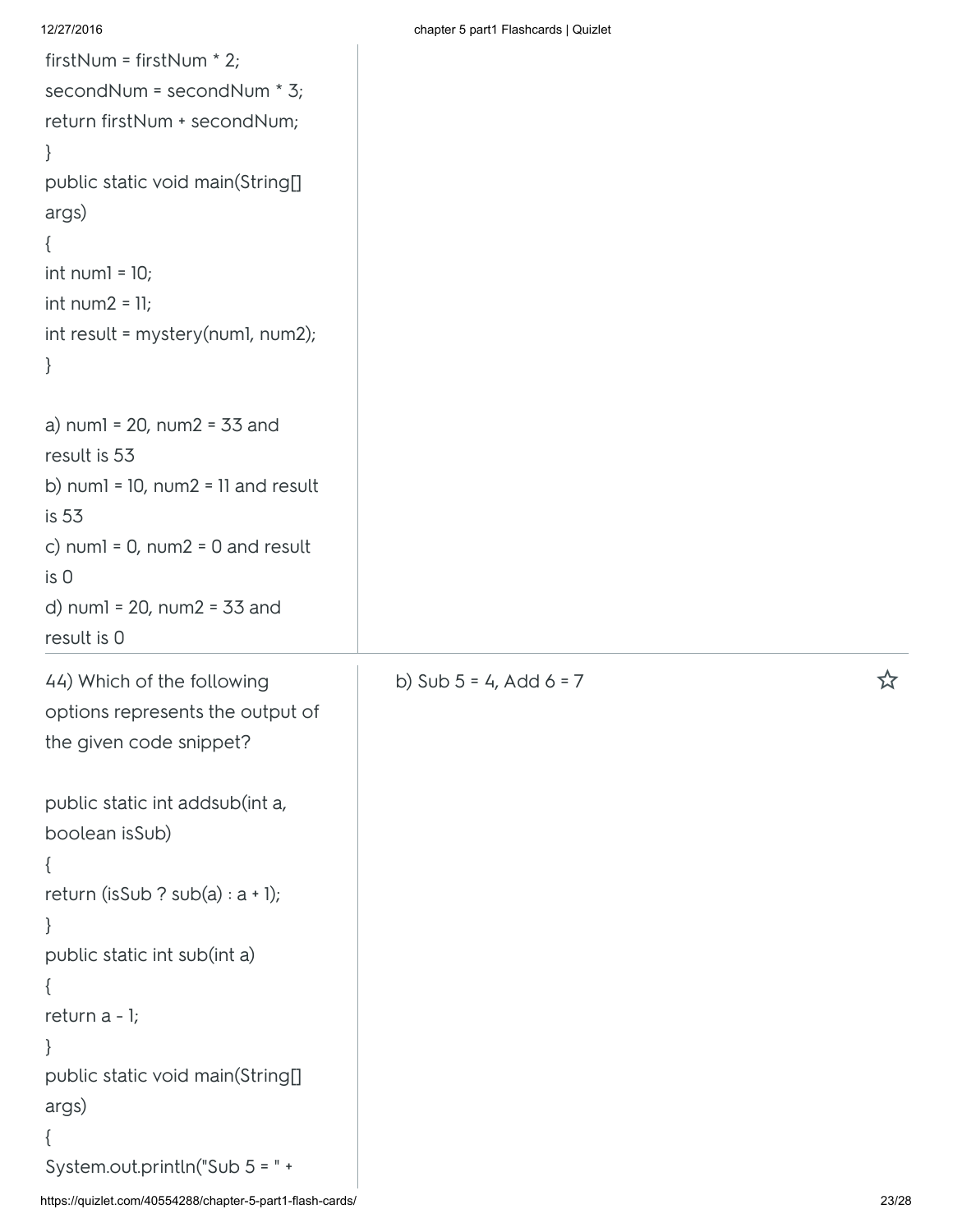| firstNum = firstNum * 2;                                  |                              |       |
|-----------------------------------------------------------|------------------------------|-------|
| secondNum = secondNum * 3;                                |                              |       |
| return firstNum + secondNum;                              |                              |       |
| $\}$                                                      |                              |       |
| public static void main(String[]                          |                              |       |
| args)                                                     |                              |       |
| $\{$                                                      |                              |       |
| int num $l = 10$ ;                                        |                              |       |
| $int num2 = 11;$                                          |                              |       |
| int result = mystery(numl, num2);                         |                              |       |
| $\}$                                                      |                              |       |
| a) numl = $20$ , num $2 = 33$ and                         |                              |       |
| result is 53                                              |                              |       |
| b) $num1 = 10$ , $num2 = 11$ and $result$                 |                              |       |
| is 53                                                     |                              |       |
| c) numl = $0$ , num2 = $0$ and result                     |                              |       |
| is 0                                                      |                              |       |
| d) $num1 = 20$ , $num2 = 33$ and                          |                              |       |
| result is 0                                               |                              |       |
| 44) Which of the following                                | b) Sub $5 = 4$ , Add $6 = 7$ | ☆     |
| options represents the output of                          |                              |       |
| the given code snippet?                                   |                              |       |
|                                                           |                              |       |
| public static int addsub(int a,                           |                              |       |
| boolean isSub)                                            |                              |       |
| ί                                                         |                              |       |
| return (isSub ? sub(a) : $a + 1$ );                       |                              |       |
| $\}$                                                      |                              |       |
| public static int sub(int a)                              |                              |       |
| ₹                                                         |                              |       |
| return a - 1;                                             |                              |       |
| ł                                                         |                              |       |
| public static void main(String[]                          |                              |       |
| args)                                                     |                              |       |
|                                                           |                              |       |
| System.out.println("Sub 5 = " +                           |                              |       |
| https://quizlet.com/40554288/chapter-5-part1-flash-cards/ |                              | 23/28 |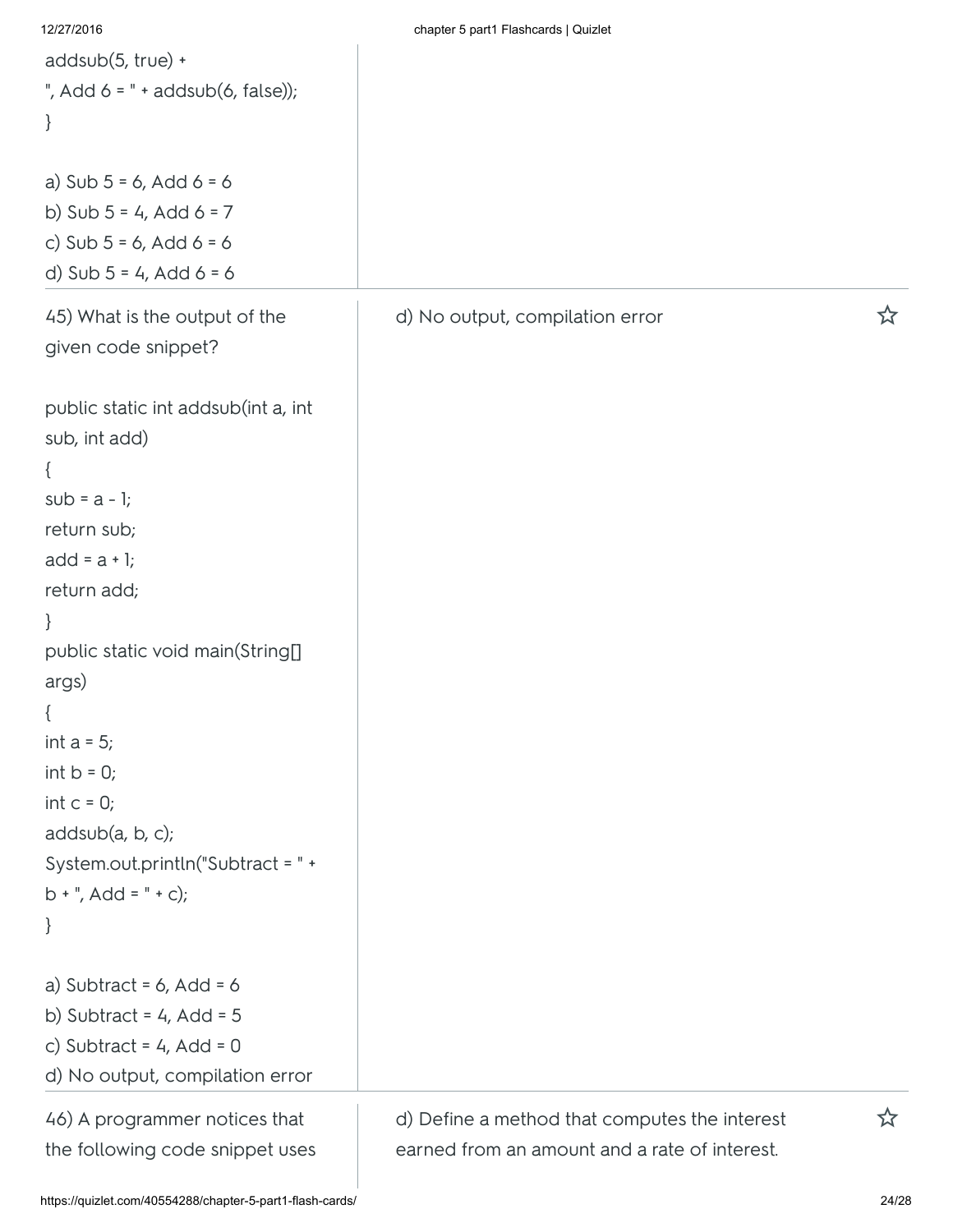| 12/27/2016                          | chapter 5 part1 Flashcards   Quizlet          |   |
|-------------------------------------|-----------------------------------------------|---|
| addsub(5, true) +                   |                                               |   |
| ", Add $6 =$ " + addsub(6, false)); |                                               |   |
| $\}$                                |                                               |   |
|                                     |                                               |   |
| a) Sub $5 = 6$ , Add $6 = 6$        |                                               |   |
| b) Sub $5 = 4$ , Add $6 = 7$        |                                               |   |
| c) Sub $5 = 6$ , Add $6 = 6$        |                                               |   |
| d) Sub $5 = 4$ , Add $6 = 6$        |                                               |   |
| 45) What is the output of the       | d) No output, compilation error               | ☆ |
| given code snippet?                 |                                               |   |
|                                     |                                               |   |
| public static int addsub(int a, int |                                               |   |
| sub, int add)                       |                                               |   |
| $\{$                                |                                               |   |
| $sub = a - 1;$                      |                                               |   |
| return sub;                         |                                               |   |
| $add = a + 1;$                      |                                               |   |
| return add;                         |                                               |   |
| $\}$                                |                                               |   |
| public static void main(String[]    |                                               |   |
| args)                               |                                               |   |
| $\{$                                |                                               |   |
| int $a = 5$ ;                       |                                               |   |
| int $b = 0$ ;                       |                                               |   |
| int $c = 0$ ;                       |                                               |   |
| addsub(a, b, c);                    |                                               |   |
| System.out.println("Subtract = " +  |                                               |   |
| $b + "$ , Add = " + c);             |                                               |   |
| $\}$                                |                                               |   |
| a) Subtract = $6$ , Add = $6$       |                                               |   |
| b) Subtract = $4$ , Add = $5$       |                                               |   |
| c) Subtract = $4$ , Add = 0         |                                               |   |
| d) No output, compilation error     |                                               |   |
|                                     |                                               |   |
| 46) A programmer notices that       | d) Define a method that computes the interest | ☆ |
| the following code snippet uses     | earned from an amount and a rate of interest. |   |
|                                     |                                               |   |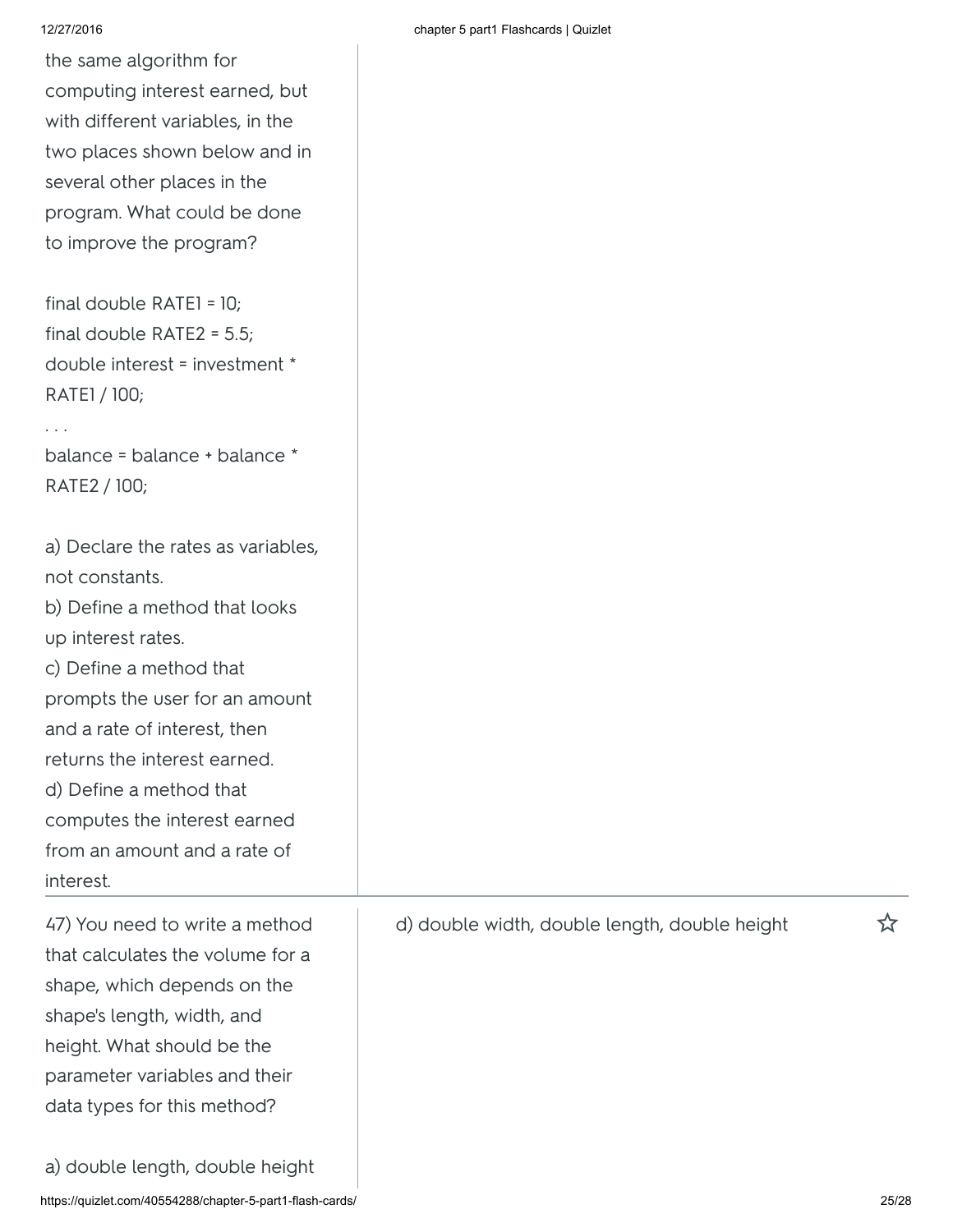. . .

the same algorithm for computing interest earned, but with different variables, in the two places shown below and in several other places in the program. What could be done to improve the program?

final double RATE1 = 10; final double RATE2 = 5.5; double interest = investment \* RATE1 / 100;

balance = balance + balance \* RATE2 / 100;

a) Declare the rates as variables, not constants. b) Define a method that looks up interest rates. c) Define a method that prompts the user for an amount and a rate of interest, then returns the interest earned. d) Define a method that computes the interest earned from an amount and a rate of interest. 47) You need to write a method

that calculates the volume for a shape, which depends on the shape's length, width, and height. What should be the parameter variables and their data types for this method?

https://quizlet.com/40554288/chapter-5-part1-flash-cards/ 25/28 a) double length, double height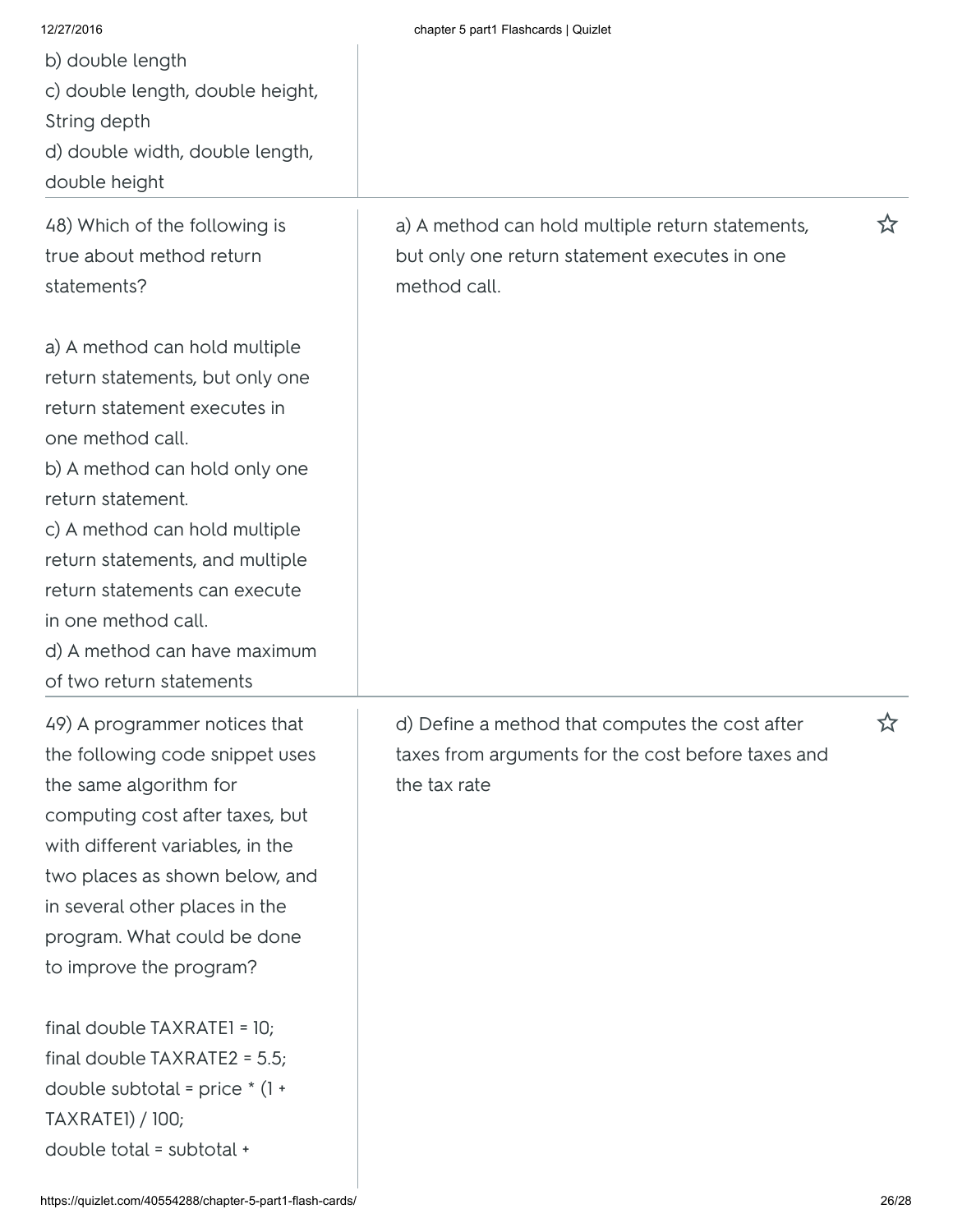| 12/27/2016<br>b) double length<br>c) double length, double height,<br>String depth<br>d) double width, double length,<br>double height<br>48) Which of the following is<br>true about method return                                                                                                                                                                                                                                                   | chapter 5 part1 Flashcards   Quizlet<br>a) A method can hold multiple return statements,<br>but only one return statement executes in one | ☆ |
|-------------------------------------------------------------------------------------------------------------------------------------------------------------------------------------------------------------------------------------------------------------------------------------------------------------------------------------------------------------------------------------------------------------------------------------------------------|-------------------------------------------------------------------------------------------------------------------------------------------|---|
| statements?<br>a) A method can hold multiple<br>return statements, but only one<br>return statement executes in<br>one method call.<br>b) A method can hold only one<br>return statement.<br>c) A method can hold multiple<br>return statements, and multiple<br>return statements can execute<br>in one method call.<br>d) A method can have maximum<br>of two return statements                                                                     | method call.                                                                                                                              |   |
| 49) A programmer notices that<br>the following code snippet uses<br>the same algorithm for<br>computing cost after taxes, but<br>with different variables, in the<br>two places as shown below, and<br>in several other places in the<br>program. What could be done<br>to improve the program?<br>final double TAXRATE1 = 10;<br>final double $TAXRATE2 = 5.5$ ;<br>double subtotal = price $*(1 +$<br>TAXRATEI) / 100;<br>double total = subtotal + | d) Define a method that computes the cost after<br>taxes from arguments for the cost before taxes and<br>the tax rate                     | 环 |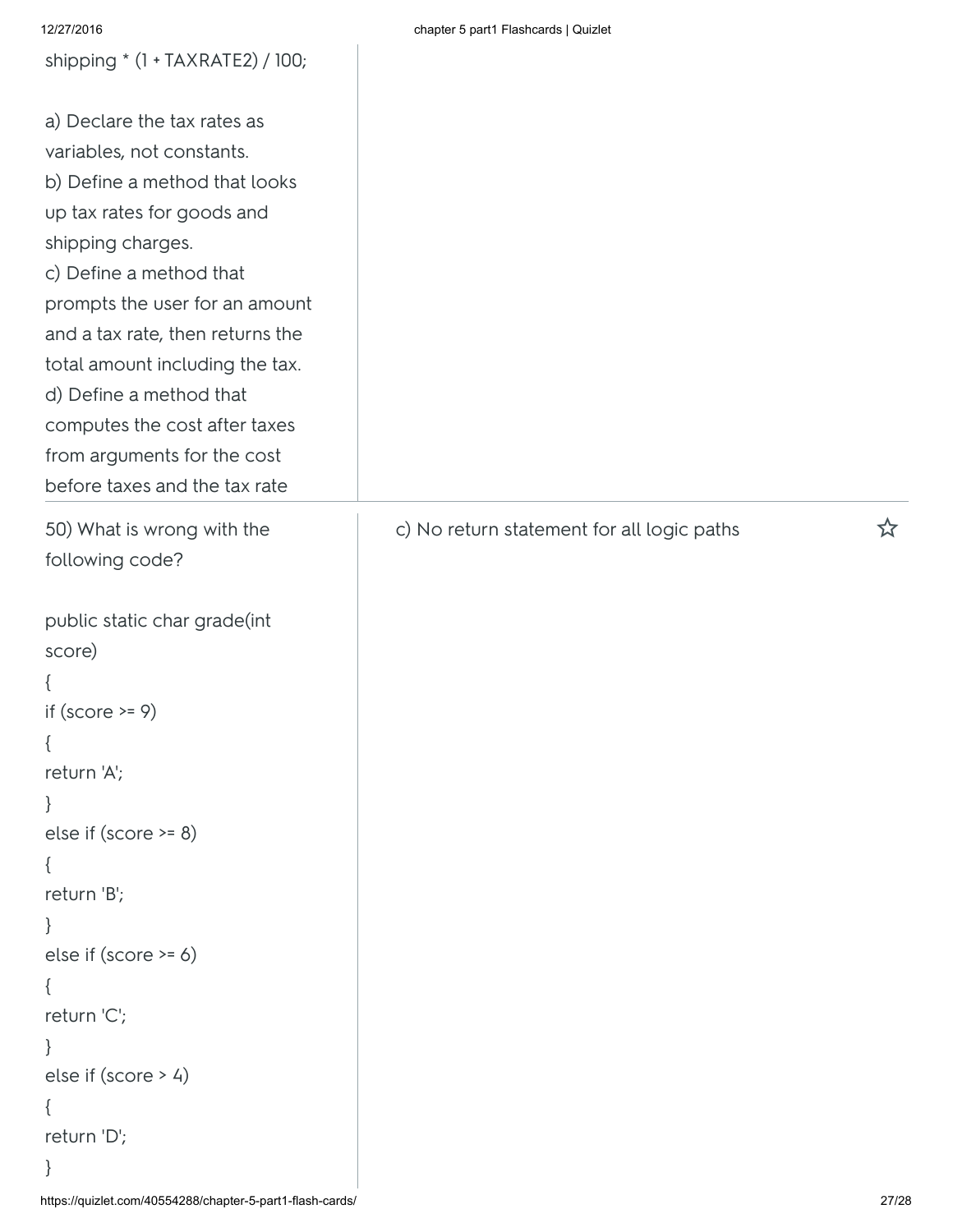| shipping * (1 + TAXRATE2) / 100;                                                                                                                                                                                                                                                                                                                                                                             |                                            |       |
|--------------------------------------------------------------------------------------------------------------------------------------------------------------------------------------------------------------------------------------------------------------------------------------------------------------------------------------------------------------------------------------------------------------|--------------------------------------------|-------|
| a) Declare the tax rates as<br>variables, not constants.<br>b) Define a method that looks<br>up tax rates for goods and<br>shipping charges.<br>c) Define a method that<br>prompts the user for an amount<br>and a tax rate, then returns the<br>total amount including the tax.<br>d) Define a method that<br>computes the cost after taxes<br>from arguments for the cost<br>before taxes and the tax rate |                                            |       |
| 50) What is wrong with the<br>following code?                                                                                                                                                                                                                                                                                                                                                                | c) No return statement for all logic paths | ☆     |
| public static char grade(int<br>score)<br>if (score $>= 9$ )<br>return 'A';<br>else if $(score \ge 8)$<br>return 'B';<br>else if $(score \ge 6)$<br>return 'C';<br>else if $(score > 4)$<br>return 'D';                                                                                                                                                                                                      |                                            |       |
| https://quizlet.com/40554288/chapter-5-part1-flash-cards/                                                                                                                                                                                                                                                                                                                                                    |                                            | 27/28 |